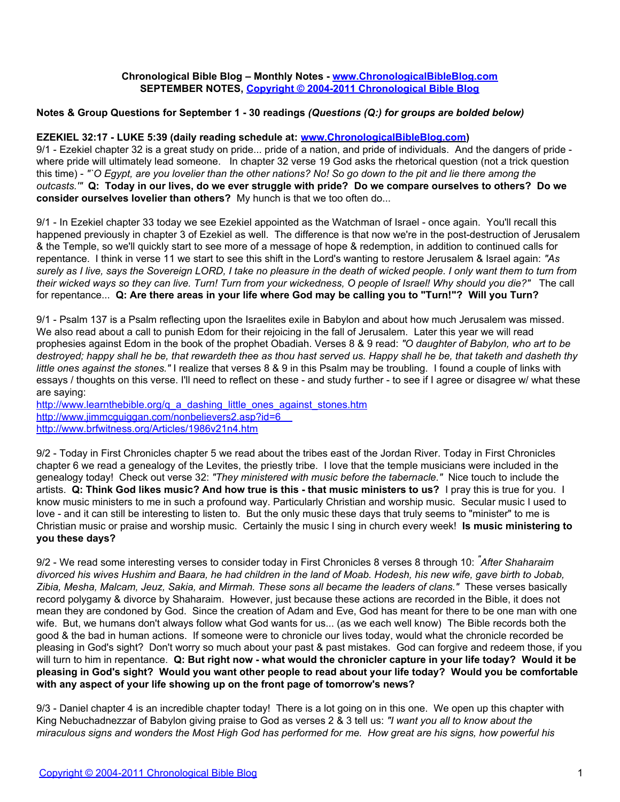### **Chronological Bible Blog – Monthly Notes - [www.ChronologicalBibleBlog.com](http://www.chronologicalbibleblog.com/) SEPTEMBER NOTES, [Copyright © 2004-2011 Chronological Bible Blog](http://www.chronologicalbibleblog.com/)**

### **Notes & Group Questions for September 1 - 30 readings** *(Questions (Q:) for groups are bolded below)*

### **EZEKIEL 32:17 - LUKE 5:39 (daily reading schedule at: [www.ChronologicalBibleBlog.com\)](http://www.chronologicalbibleblog.com/)**

9/1 - Ezekiel chapter 32 is a great study on pride... pride of a nation, and pride of individuals. And the dangers of pride where pride will ultimately lead someone. In chapter 32 verse 19 God asks the rhetorical question (not a trick question this time) - *"`O Egypt, are you lovelier than the other nations? No! So go down to the pit and lie there among the outcasts.'"* **Q: Today in our lives, do we ever struggle with pride? Do we compare ourselves to others? Do we consider ourselves lovelier than others?** My hunch is that we too often do...

9/1 - In Ezekiel chapter 33 today we see Ezekiel appointed as the Watchman of Israel - once again. You'll recall this happened previously in chapter 3 of Ezekiel as well. The difference is that now we're in the post-destruction of Jerusalem & the Temple, so we'll quickly start to see more of a message of hope & redemption, in addition to continued calls for repentance. I think in verse 11 we start to see this shift in the Lord's wanting to restore Jerusalem & Israel again: *"As surely as I live, says the Sovereign LORD, I take no pleasure in the death of wicked people. I only want them to turn from their wicked ways so they can live. Turn! Turn from your wickedness, O people of Israel! Why should you die?"* The call for repentance... **Q: Are there areas in your life where God may be calling you to "Turn!"? Will you Turn?**

9/1 - Psalm 137 is a Psalm reflecting upon the Israelites exile in Babylon and about how much Jerusalem was missed. We also read about a call to punish Edom for their rejoicing in the fall of Jerusalem. Later this year we will read prophesies against Edom in the book of the prophet Obadiah. Verses 8 & 9 read: *"O daughter of Babylon, who art to be destroyed; happy shall he be, that rewardeth thee as thou hast served us. Happy shall he be, that taketh and dasheth thy little ones against the stones."* I realize that verses 8 & 9 in this Psalm may be troubling. I found a couple of links with essays / thoughts on this verse. I'll need to reflect on these - and study further - to see if I agree or disagree w/ what these are saying:

http://www.learnthebible.org/g\_a\_dashing\_little\_ones\_against\_stones.htm <http://www.jimmcguiggan.com/nonbelievers2.asp?id=6> <http://www.brfwitness.org/Articles/1986v21n4.htm>

9/2 - Today in First Chronicles chapter 5 we read about the tribes east of the Jordan River. Today in First Chronicles chapter 6 we read a genealogy of the Levites, the priestly tribe. I love that the temple musicians were included in the genealogy today! Check out verse 32: *"They ministered with music before the tabernacle."* Nice touch to include the artists. **Q: Think God likes music? And how true is this - that music ministers to us?** I pray this is true for you. I know music ministers to me in such a profound way. Particularly Christian and worship music. Secular music I used to love - and it can still be interesting to listen to. But the only music these days that truly seems to "minister" to me is Christian music or praise and worship music. Certainly the music I sing in church every week! **Is music ministering to you these days?**

9/2 - We read some interesting verses to consider today in First Chronicles 8 verses 8 through 10: *"After Shaharaim divorced his wives Hushim and Baara, he had children in the land of Moab. Hodesh, his new wife, gave birth to Jobab, Zibia, Mesha, Malcam, Jeuz, Sakia, and Mirmah. These sons all became the leaders of clans."* These verses basically record polygamy & divorce by Shaharaim. However, just because these actions are recorded in the Bible, it does not mean they are condoned by God. Since the creation of Adam and Eve, God has meant for there to be one man with one wife. But, we humans don't always follow what God wants for us... (as we each well know) The Bible records both the good & the bad in human actions. If someone were to chronicle our lives today, would what the chronicle recorded be pleasing in God's sight? Don't worry so much about your past & past mistakes. God can forgive and redeem those, if you will turn to him in repentance. **Q: But right now - what would the chronicler capture in your life today? Would it be pleasing in God's sight? Would you want other people to read about your life today? Would you be comfortable with any aspect of your life showing up on the front page of tomorrow's news?**

9/3 - Daniel chapter 4 is an incredible chapter today! There is a lot going on in this one. We open up this chapter with King Nebuchadnezzar of Babylon giving praise to God as verses 2 & 3 tell us: *"I want you all to know about the miraculous signs and wonders the Most High God has performed for me. How great are his signs, how powerful his*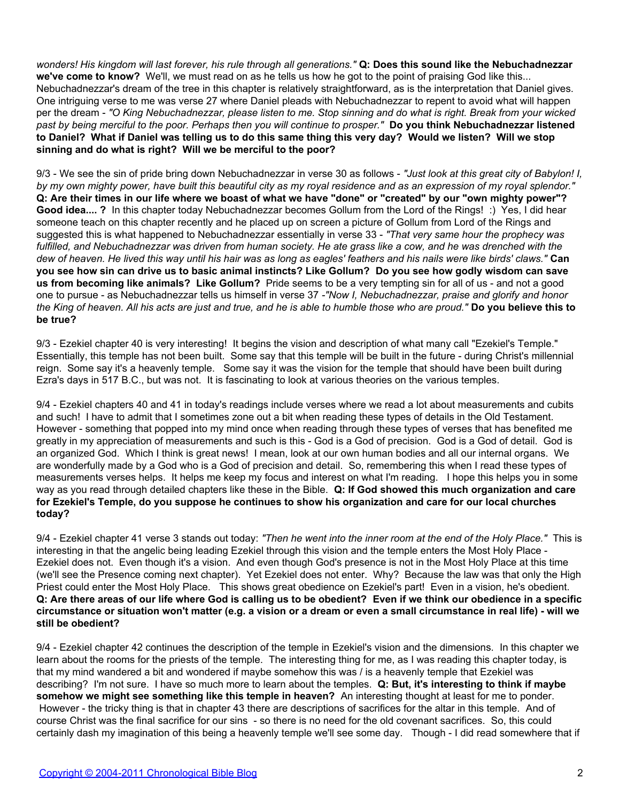*wonders! His kingdom will last forever, his rule through all generations."* **Q: Does this sound like the Nebuchadnezzar we've come to know?** We'll, we must read on as he tells us how he got to the point of praising God like this... Nebuchadnezzar's dream of the tree in this chapter is relatively straightforward, as is the interpretation that Daniel gives. One intriguing verse to me was verse 27 where Daniel pleads with Nebuchadnezzar to repent to avoid what will happen per the dream - *"O King Nebuchadnezzar, please listen to me. Stop sinning and do what is right. Break from your wicked past by being merciful to the poor. Perhaps then you will continue to prosper."* **Do you think Nebuchadnezzar listened to Daniel? What if Daniel was telling us to do this same thing this very day? Would we listen? Will we stop sinning and do what is right? Will we be merciful to the poor?**

9/3 - We see the sin of pride bring down Nebuchadnezzar in verse 30 as follows - *"Just look at this great city of Babylon! I, by my own mighty power, have built this beautiful city as my royal residence and as an expression of my royal splendor."* **Q: Are their times in our life where we boast of what we have "done" or "created" by our "own mighty power"? Good idea.... ?** In this chapter today Nebuchadnezzar becomes Gollum from the Lord of the Rings! :) Yes, I did hear someone teach on this chapter recently and he placed up on screen a picture of Gollum from Lord of the Rings and suggested this is what happened to Nebuchadnezzar essentially in verse 33 - *"That very same hour the prophecy was fulfilled, and Nebuchadnezzar was driven from human society. He ate grass like a cow, and he was drenched with the dew of heaven. He lived this way until his hair was as long as eagles' feathers and his nails were like birds' claws."* **Can you see how sin can drive us to basic animal instincts? Like Gollum? Do you see how godly wisdom can save us from becoming like animals? Like Gollum?** Pride seems to be a very tempting sin for all of us - and not a good one to pursue - as Nebuchadnezzar tells us himself in verse 37 *-"Now I, Nebuchadnezzar, praise and glorify and honor the King of heaven. All his acts are just and true, and he is able to humble those who are proud."* **Do you believe this to be true?**

9/3 - Ezekiel chapter 40 is very interesting! It begins the vision and description of what many call "Ezekiel's Temple." Essentially, this temple has not been built. Some say that this temple will be built in the future - during Christ's millennial reign. Some say it's a heavenly temple. Some say it was the vision for the temple that should have been built during Ezra's days in 517 B.C., but was not. It is fascinating to look at various theories on the various temples.

9/4 - Ezekiel chapters 40 and 41 in today's readings include verses where we read a lot about measurements and cubits and such! I have to admit that I sometimes zone out a bit when reading these types of details in the Old Testament. However - something that popped into my mind once when reading through these types of verses that has benefited me greatly in my appreciation of measurements and such is this - God is a God of precision. God is a God of detail. God is an organized God. Which I think is great news! I mean, look at our own human bodies and all our internal organs. We are wonderfully made by a God who is a God of precision and detail. So, remembering this when I read these types of measurements verses helps. It helps me keep my focus and interest on what I'm reading. I hope this helps you in some way as you read through detailed chapters like these in the Bible. **Q: If God showed this much organization and care for Ezekiel's Temple, do you suppose he continues to show his organization and care for our local churches today?**

9/4 - Ezekiel chapter 41 verse 3 stands out today: *"Then he went into the inner room at the end of the Holy Place."* This is interesting in that the angelic being leading Ezekiel through this vision and the temple enters the Most Holy Place - Ezekiel does not. Even though it's a vision. And even though God's presence is not in the Most Holy Place at this time (we'll see the Presence coming next chapter). Yet Ezekiel does not enter. Why? Because the law was that only the High Priest could enter the Most Holy Place. This shows great obedience on Ezekiel's part! Even in a vision, he's obedient. **Q: Are there areas of our life where God is calling us to be obedient? Even if we think our obedience in a specific circumstance or situation won't matter (e.g. a vision or a dream or even a small circumstance in real life) - will we still be obedient?**

9/4 - Ezekiel chapter 42 continues the description of the temple in Ezekiel's vision and the dimensions. In this chapter we learn about the rooms for the priests of the temple. The interesting thing for me, as I was reading this chapter today, is that my mind wandered a bit and wondered if maybe somehow this was / is a heavenly temple that Ezekiel was describing? I'm not sure. I have so much more to learn about the temples. **Q: But, it's interesting to think if maybe somehow we might see something like this temple in heaven?** An interesting thought at least for me to ponder. However - the tricky thing is that in chapter 43 there are descriptions of sacrifices for the altar in this temple. And of course Christ was the final sacrifice for our sins - so there is no need for the old covenant sacrifices. So, this could certainly dash my imagination of this being a heavenly temple we'll see some day. Though - I did read somewhere that if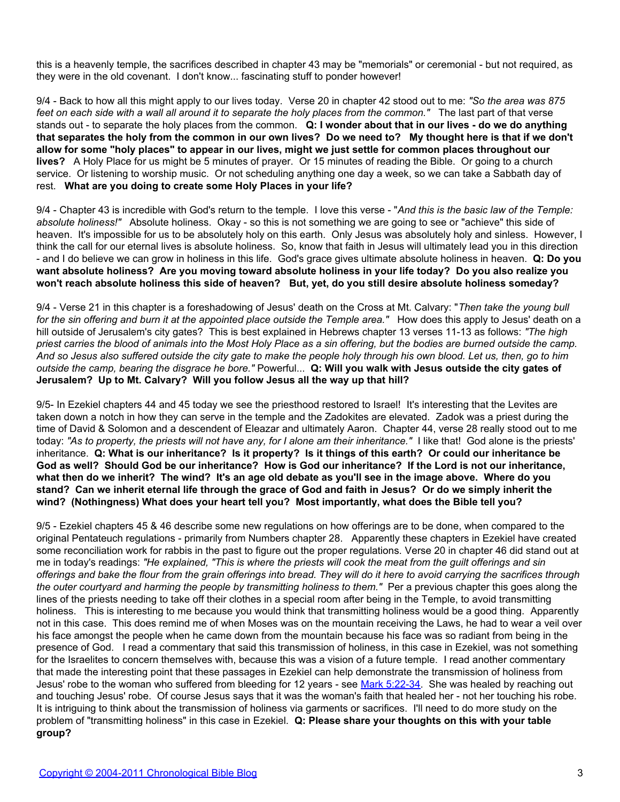this is a heavenly temple, the sacrifices described in chapter 43 may be "memorials" or ceremonial - but not required, as they were in the old covenant. I don't know... fascinating stuff to ponder however!

9/4 - Back to how all this might apply to our lives today. Verse 20 in chapter 42 stood out to me: *"So the area was 875 feet on each side with a wall all around it to separate the holy places from the common."* The last part of that verse stands out - to separate the holy places from the common. **Q: I wonder about that in our lives - do we do anything that separates the holy from the common in our own lives? Do we need to? My thought here is that if we don't allow for some "holy places" to appear in our lives, might we just settle for common places throughout our lives?** A Holy Place for us might be 5 minutes of prayer. Or 15 minutes of reading the Bible. Or going to a church service. Or listening to worship music. Or not scheduling anything one day a week, so we can take a Sabbath day of rest. **What are you doing to create some Holy Places in your life?**

9/4 - Chapter 43 is incredible with God's return to the temple. I love this verse - "*And this is the basic law of the Temple: absolute holiness!"* Absolute holiness. Okay - so this is not something we are going to see or "achieve" this side of heaven. It's impossible for us to be absolutely holy on this earth. Only Jesus was absolutely holy and sinless. However, I think the call for our eternal lives is absolute holiness. So, know that faith in Jesus will ultimately lead you in this direction - and I do believe we can grow in holiness in this life. God's grace gives ultimate absolute holiness in heaven. **Q: Do you want absolute holiness? Are you moving toward absolute holiness in your life today? Do you also realize you won't reach absolute holiness this side of heaven? But, yet, do you still desire absolute holiness someday?**

9/4 - Verse 21 in this chapter is a foreshadowing of Jesus' death on the Cross at Mt. Calvary: "*Then take the young bull for the sin offering and burn it at the appointed place outside the Temple area."* How does this apply to Jesus' death on a hill outside of Jerusalem's city gates? This is best explained in Hebrews chapter 13 verses 11-13 as follows: *"The high priest carries the blood of animals into the Most Holy Place as a sin offering, but the bodies are burned outside the camp. And so Jesus also suffered outside the city gate to make the people holy through his own blood. Let us, then, go to him outside the camp, bearing the disgrace he bore."* Powerful... **Q: Will you walk with Jesus outside the city gates of Jerusalem? Up to Mt. Calvary? Will you follow Jesus all the way up that hill?**

9/5- In Ezekiel chapters 44 and 45 today we see the priesthood restored to Israel! It's interesting that the Levites are taken down a notch in how they can serve in the temple and the Zadokites are elevated. Zadok was a priest during the time of David & Solomon and a descendent of Eleazar and ultimately Aaron. Chapter 44, verse 28 really stood out to me today: *"As to property, the priests will not have any, for I alone am their inheritance."* I like that! God alone is the priests' inheritance. **Q: What is our inheritance? Is it property? Is it things of this earth? Or could our inheritance be God as well? Should God be our inheritance? How is God our inheritance? If the Lord is not our inheritance, what then do we inherit? The wind? It's an age old debate as you'll see in the image above. Where do you stand? Can we inherit eternal life through the grace of God and faith in Jesus? Or do we simply inherit the wind? (Nothingness) What does your heart tell you? Most importantly, what does the Bible tell you?**

9/5 - Ezekiel chapters 45 & 46 describe some new regulations on how offerings are to be done, when compared to the original Pentateuch regulations - primarily from Numbers chapter 28. Apparently these chapters in Ezekiel have created some reconciliation work for rabbis in the past to figure out the proper regulations. Verse 20 in chapter 46 did stand out at me in today's readings: *"He explained, "This is where the priests will cook the meat from the guilt offerings and sin offerings and bake the flour from the grain offerings into bread. They will do it here to avoid carrying the sacrifices through the outer courtyard and harming the people by transmitting holiness to them."* Per a previous chapter this goes along the lines of the priests needing to take off their clothes in a special room after being in the Temple, to avoid transmitting holiness. This is interesting to me because you would think that transmitting holiness would be a good thing. Apparently not in this case. This does remind me of when Moses was on the mountain receiving the Laws, he had to wear a veil over his face amongst the people when he came down from the mountain because his face was so radiant from being in the presence of God. I read a commentary that said this transmission of holiness, in this case in Ezekiel, was not something for the Israelites to concern themselves with, because this was a vision of a future temple. I read another commentary that made the interesting point that these passages in Ezekiel can help demonstrate the transmission of holiness from Jesus' robe to the woman who suffered from bleeding for 12 years - see [Mark 5:22-34](http://www.biblegateway.com/passage/?search=Mark%205:22-34). She was healed by reaching out and touching Jesus' robe. Of course Jesus says that it was the woman's faith that healed her - not her touching his robe. It is intriguing to think about the transmission of holiness via garments or sacrifices. I'll need to do more study on the problem of "transmitting holiness" in this case in Ezekiel. **Q: Please share your thoughts on this with your table group?**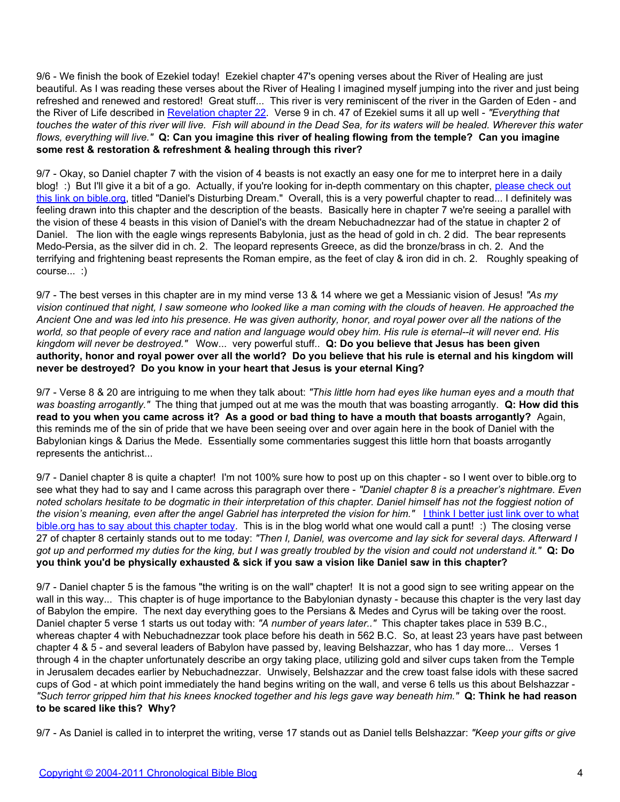9/6 - We finish the book of Ezekiel today! Ezekiel chapter 47's opening verses about the River of Healing are just beautiful. As I was reading these verses about the River of Healing I imagined myself jumping into the river and just being refreshed and renewed and restored! Great stuff... This river is very reminiscent of the river in the Garden of Eden - and the River of Life described in [Revelation chapter 22.](http://www.biblegateway.com/passage/?search=revelation%2022) Verse 9 in ch. 47 of Ezekiel sums it all up well - *"Everything that touches the water of this river will live. Fish will abound in the Dead Sea, for its waters will be healed. Wherever this water flows, everything will live."* **Q: Can you imagine this river of healing flowing from the temple? Can you imagine some rest & restoration & refreshment & healing through this river?**

9/7 - Okay, so Daniel chapter 7 with the vision of 4 beasts is not exactly an easy one for me to interpret here in a daily blog! :) But I'll give it a bit of a go. Actually, if you're looking for in-depth commentary on this chapter, [please check out](http://www.bible.org/page.php?page_id=477) [this link on bible.org](http://www.bible.org/page.php?page_id=477), titled "Daniel's Disturbing Dream." Overall, this is a very powerful chapter to read... I definitely was feeling drawn into this chapter and the description of the beasts. Basically here in chapter 7 we're seeing a parallel with the vision of these 4 beasts in this vision of Daniel's with the dream Nebuchadnezzar had of the statue in chapter 2 of Daniel. The lion with the eagle wings represents Babylonia, just as the head of gold in ch. 2 did. The bear represents Medo-Persia, as the silver did in ch. 2. The leopard represents Greece, as did the bronze/brass in ch. 2. And the terrifying and frightening beast represents the Roman empire, as the feet of clay & iron did in ch. 2. Roughly speaking of course... :)

9/7 - The best verses in this chapter are in my mind verse 13 & 14 where we get a Messianic vision of Jesus! *"As my vision continued that night, I saw someone who looked like a man coming with the clouds of heaven. He approached the Ancient One and was led into his presence. He was given authority, honor, and royal power over all the nations of the world, so that people of every race and nation and language would obey him. His rule is eternal--it will never end. His kingdom will never be destroyed."* Wow... very powerful stuff.. **Q: Do you believe that Jesus has been given authority, honor and royal power over all the world? Do you believe that his rule is eternal and his kingdom will never be destroyed? Do you know in your heart that Jesus is your eternal King?**

9/7 - Verse 8 & 20 are intriguing to me when they talk about: *"This little horn had eyes like human eyes and a mouth that was boasting arrogantly."* The thing that jumped out at me was the mouth that was boasting arrogantly. **Q: How did this read to you when you came across it? As a good or bad thing to have a mouth that boasts arrogantly?** Again, this reminds me of the sin of pride that we have been seeing over and over again here in the book of Daniel with the Babylonian kings & Darius the Mede. Essentially some commentaries suggest this little horn that boasts arrogantly represents the antichrist...

9/7 - Daniel chapter 8 is quite a chapter! I'm not 100% sure how to post up on this chapter - so I went over to bible.org to see what they had to say and I came across this paragraph over there - *"Daniel chapter 8 is a preacher's nightmare. Even noted scholars hesitate to be dogmatic in their interpretation of this chapter. Daniel himself has not the foggiest notion of the vision's meaning, even after the angel Gabriel has interpreted the vision for him."* [I think I better just link over to what](http://www.bible.org/page.php?page_id=478) [bible.org has to say about this chapter today](http://www.bible.org/page.php?page_id=478). This is in the blog world what one would call a punt! :) The closing verse 27 of chapter 8 certainly stands out to me today: *"Then I, Daniel, was overcome and lay sick for several days. Afterward I got up and performed my duties for the king, but I was greatly troubled by the vision and could not understand it."* **Q: Do you think you'd be physically exhausted & sick if you saw a vision like Daniel saw in this chapter?**

9/7 - Daniel chapter 5 is the famous "the writing is on the wall" chapter! It is not a good sign to see writing appear on the wall in this way... This chapter is of huge importance to the Babylonian dynasty - because this chapter is the very last day of Babylon the empire. The next day everything goes to the Persians & Medes and Cyrus will be taking over the roost. Daniel chapter 5 verse 1 starts us out today with: *"A number of years later.."* This chapter takes place in 539 B.C., whereas chapter 4 with Nebuchadnezzar took place before his death in 562 B.C. So, at least 23 years have past between chapter 4 & 5 - and several leaders of Babylon have passed by, leaving Belshazzar, who has 1 day more... Verses 1 through 4 in the chapter unfortunately describe an orgy taking place, utilizing gold and silver cups taken from the Temple in Jerusalem decades earlier by Nebuchadnezzar. Unwisely, Belshazzar and the crew toast false idols with these sacred cups of God - at which point immediately the hand begins writing on the wall, and verse 6 tells us this about Belshazzar - *"Such terror gripped him that his knees knocked together and his legs gave way beneath him."* **Q: Think he had reason to be scared like this? Why?**

9/7 - As Daniel is called in to interpret the writing, verse 17 stands out as Daniel tells Belshazzar: *"Keep your gifts or give*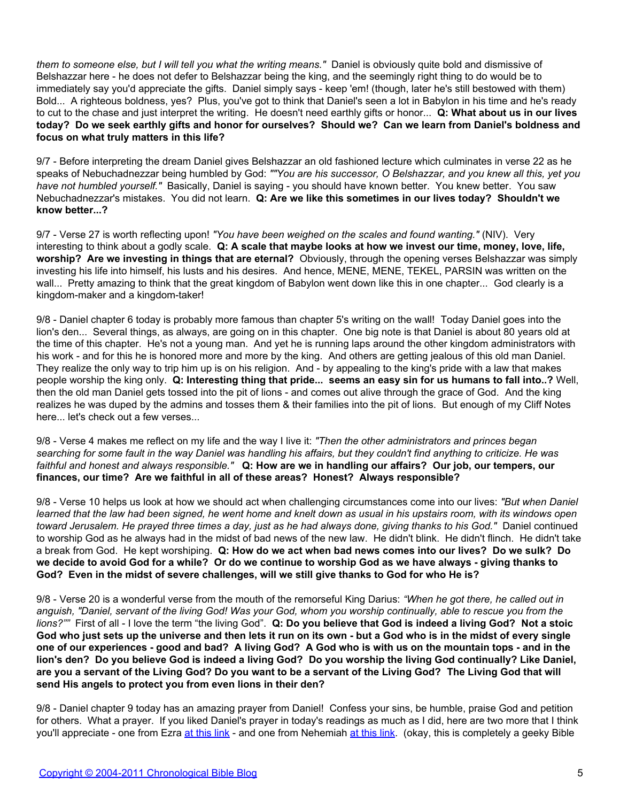*them to someone else, but I will tell you what the writing means."* Daniel is obviously quite bold and dismissive of Belshazzar here - he does not defer to Belshazzar being the king, and the seemingly right thing to do would be to immediately say you'd appreciate the gifts. Daniel simply says - keep 'em! (though, later he's still bestowed with them) Bold... A righteous boldness, yes? Plus, you've got to think that Daniel's seen a lot in Babylon in his time and he's ready to cut to the chase and just interpret the writing. He doesn't need earthly gifts or honor... **Q: What about us in our lives today? Do we seek earthly gifts and honor for ourselves? Should we? Can we learn from Daniel's boldness and focus on what truly matters in this life?**

9/7 - Before interpreting the dream Daniel gives Belshazzar an old fashioned lecture which culminates in verse 22 as he speaks of Nebuchadnezzar being humbled by God: *""You are his successor, O Belshazzar, and you knew all this, yet you have not humbled yourself."* Basically, Daniel is saying - you should have known better. You knew better. You saw Nebuchadnezzar's mistakes. You did not learn. **Q: Are we like this sometimes in our lives today? Shouldn't we know better...?**

9/7 - Verse 27 is worth reflecting upon! *"You have been weighed on the scales and found wanting."* (NIV). Very interesting to think about a godly scale. **Q: A scale that maybe looks at how we invest our time, money, love, life, worship? Are we investing in things that are eternal?** Obviously, through the opening verses Belshazzar was simply investing his life into himself, his lusts and his desires. And hence, MENE, MENE, TEKEL, PARSIN was written on the wall... Pretty amazing to think that the great kingdom of Babylon went down like this in one chapter... God clearly is a kingdom-maker and a kingdom-taker!

9/8 - Daniel chapter 6 today is probably more famous than chapter 5's writing on the wall! Today Daniel goes into the lion's den... Several things, as always, are going on in this chapter. One big note is that Daniel is about 80 years old at the time of this chapter. He's not a young man. And yet he is running laps around the other kingdom administrators with his work - and for this he is honored more and more by the king. And others are getting jealous of this old man Daniel. They realize the only way to trip him up is on his religion. And - by appealing to the king's pride with a law that makes people worship the king only. **Q: Interesting thing that pride... seems an easy sin for us humans to fall into..?** Well, then the old man Daniel gets tossed into the pit of lions - and comes out alive through the grace of God. And the king realizes he was duped by the admins and tosses them & their families into the pit of lions. But enough of my Cliff Notes here... let's check out a few verses...

9/8 - Verse 4 makes me reflect on my life and the way I live it: *"Then the other administrators and princes began searching for some fault in the way Daniel was handling his affairs, but they couldn't find anything to criticize. He was faithful and honest and always responsible."* **Q: How are we in handling our affairs? Our job, our tempers, our finances, our time? Are we faithful in all of these areas? Honest? Always responsible?**

9/8 - Verse 10 helps us look at how we should act when challenging circumstances come into our lives: *"But when Daniel learned that the law had been signed, he went home and knelt down as usual in his upstairs room, with its windows open toward Jerusalem. He prayed three times a day, just as he had always done, giving thanks to his God."* Daniel continued to worship God as he always had in the midst of bad news of the new law. He didn't blink. He didn't flinch. He didn't take a break from God. He kept worshiping. **Q: How do we act when bad news comes into our lives? Do we sulk? Do we decide to avoid God for a while? Or do we continue to worship God as we have always - giving thanks to God? Even in the midst of severe challenges, will we still give thanks to God for who He is?**

9/8 - Verse 20 is a wonderful verse from the mouth of the remorseful King Darius: *"When he got there, he called out in anguish, "Daniel, servant of the living God! Was your God, whom you worship continually, able to rescue you from the lions?""* First of all - I love the term "the living God". **Q: Do you believe that God is indeed a living God? Not a stoic God who just sets up the universe and then lets it run on its own - but a God who is in the midst of every single one of our experiences - good and bad? A living God? A God who is with us on the mountain tops - and in the lion's den? Do you believe God is indeed a living God? Do you worship the living God continually? Like Daniel, are you a servant of the Living God? Do you want to be a servant of the Living God? The Living God that will send His angels to protect you from even lions in their den?**

9/8 - Daniel chapter 9 today has an amazing prayer from Daniel! Confess your sins, be humble, praise God and petition for others. What a prayer. If you liked Daniel's prayer in today's readings as much as I did, here are two more that I think you'll appreciate - one from Ezra [at this link](http://www.biblegateway.com/passage/?search=nehemiah%209:5-38) - and one from Nehemiah at this link. (okay, this is completely a geeky Bible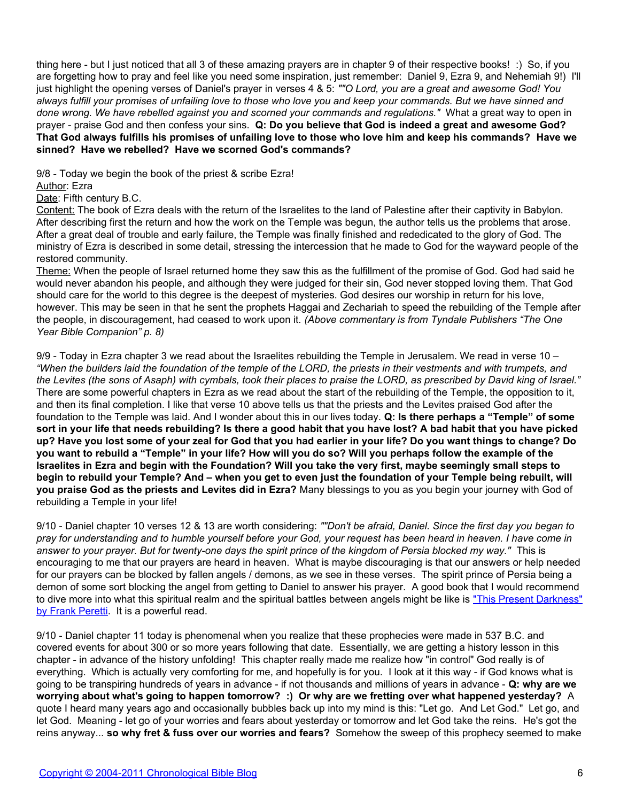thing here - but I just noticed that all 3 of these amazing prayers are in chapter 9 of their respective books! :) So, if you are forgetting how to pray and feel like you need some inspiration, just remember: Daniel 9, Ezra 9, and Nehemiah 9!) I'll just highlight the opening verses of Daniel's prayer in verses 4 & 5: *""O Lord, you are a great and awesome God! You always fulfill your promises of unfailing love to those who love you and keep your commands. But we have sinned and done wrong. We have rebelled against you and scorned your commands and regulations."* What a great way to open in prayer - praise God and then confess your sins. **Q: Do you believe that God is indeed a great and awesome God? That God always fulfills his promises of unfailing love to those who love him and keep his commands? Have we sinned? Have we rebelled? Have we scorned God's commands?**

9/8 - Today we begin the book of the priest & scribe Ezra!

Author: Ezra

Date: Fifth century B.C.

Content: The book of Ezra deals with the return of the Israelites to the land of Palestine after their captivity in Babylon. After describing first the return and how the work on the Temple was begun, the author tells us the problems that arose. After a great deal of trouble and early failure, the Temple was finally finished and rededicated to the glory of God. The ministry of Ezra is described in some detail, stressing the intercession that he made to God for the wayward people of the restored community.

Theme: When the people of Israel returned home they saw this as the fulfillment of the promise of God. God had said he would never abandon his people, and although they were judged for their sin, God never stopped loving them. That God should care for the world to this degree is the deepest of mysteries. God desires our worship in return for his love, however. This may be seen in that he sent the prophets Haggai and Zechariah to speed the rebuilding of the Temple after the people, in discouragement, had ceased to work upon it. *(Above commentary is from Tyndale Publishers "The One Year Bible Companion" p. 8)*

9/9 - Today in Ezra chapter 3 we read about the Israelites rebuilding the Temple in Jerusalem. We read in verse 10 – *"When the builders laid the foundation of the temple of the LORD, the priests in their vestments and with trumpets, and the Levites (the sons of Asaph) with cymbals, took their places to praise the LORD, as prescribed by David king of Israel."* There are some powerful chapters in Ezra as we read about the start of the rebuilding of the Temple, the opposition to it, and then its final completion. I like that verse 10 above tells us that the priests and the Levites praised God after the foundation to the Temple was laid. And I wonder about this in our lives today. **Q: Is there perhaps a "Temple" of some sort in your life that needs rebuilding? Is there a good habit that you have lost? A bad habit that you have picked up? Have you lost some of your zeal for God that you had earlier in your life? Do you want things to change? Do you want to rebuild a "Temple" in your life? How will you do so? Will you perhaps follow the example of the Israelites in Ezra and begin with the Foundation? Will you take the very first, maybe seemingly small steps to begin to rebuild your Temple? And – when you get to even just the foundation of your Temple being rebuilt, will you praise God as the priests and Levites did in Ezra?** Many blessings to you as you begin your journey with God of rebuilding a Temple in your life!

9/10 - Daniel chapter 10 verses 12 & 13 are worth considering: *""Don't be afraid, Daniel. Since the first day you began to pray for understanding and to humble yourself before your God, your request has been heard in heaven. I have come in answer to your prayer. But for twenty-one days the spirit prince of the kingdom of Persia blocked my way."* This is encouraging to me that our prayers are heard in heaven. What is maybe discouraging is that our answers or help needed for our prayers can be blocked by fallen angels / demons, as we see in these verses. The spirit prince of Persia being a demon of some sort blocking the angel from getting to Daniel to answer his prayer. A good book that I would recommend to dive more into what this spiritual realm and the spiritual battles between angels might be like is ["This Present Darkness"](http://www.amazon.com/exec/obidos/ASIN/0842361715) [by Frank Peretti.](http://www.amazon.com/exec/obidos/ASIN/0842361715) It is a powerful read.

9/10 - Daniel chapter 11 today is phenomenal when you realize that these prophecies were made in 537 B.C. and covered events for about 300 or so more years following that date. Essentially, we are getting a history lesson in this chapter - in advance of the history unfolding! This chapter really made me realize how "in control" God really is of everything. Which is actually very comforting for me, and hopefully is for you. I look at it this way - if God knows what is going to be transpiring hundreds of years in advance - if not thousands and millions of years in advance - **Q: why are we worrying about what's going to happen tomorrow? :) Or why are we fretting over what happened yesterday?** A quote I heard many years ago and occasionally bubbles back up into my mind is this: "Let go. And Let God." Let go, and let God. Meaning - let go of your worries and fears about yesterday or tomorrow and let God take the reins. He's got the reins anyway... **so why fret & fuss over our worries and fears?** Somehow the sweep of this prophecy seemed to make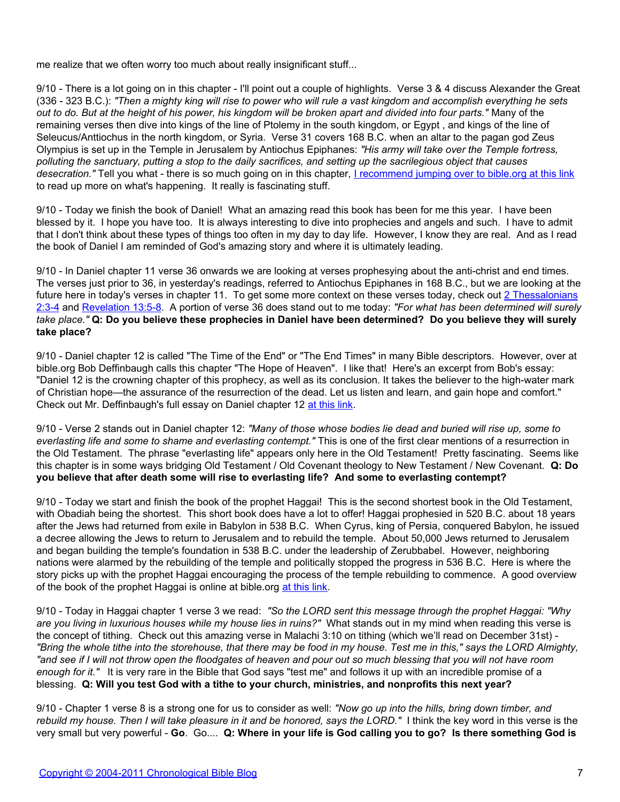me realize that we often worry too much about really insignificant stuff...

9/10 - There is a lot going on in this chapter - I'll point out a couple of highlights. Verse 3 & 4 discuss Alexander the Great (336 - 323 B.C.): *"Then a mighty king will rise to power who will rule a vast kingdom and accomplish everything he sets out to do. But at the height of his power, his kingdom will be broken apart and divided into four parts."* Many of the remaining verses then dive into kings of the line of Ptolemy in the south kingdom, or Egypt , and kings of the line of Seleucus/Anttiochus in the north kingdom, or Syria. Verse 31 covers 168 B.C. when an altar to the pagan god Zeus Olympius is set up in the Temple in Jerusalem by Antiochus Epiphanes: *"His army will take over the Temple fortress, polluting the sanctuary, putting a stop to the daily sacrifices, and setting up the sacrilegious object that causes desecration."* Tell you what - there is so much going on in this chapter, [I recommend jumping over to bible.org at this link](http://bible.org/page.php?page_id=481) to read up more on what's happening. It really is fascinating stuff.

9/10 - Today we finish the book of Daniel! What an amazing read this book has been for me this year. I have been blessed by it. I hope you have too. It is always interesting to dive into prophecies and angels and such. I have to admit that I don't think about these types of things too often in my day to day life. However, I know they are real. And as I read the book of Daniel I am reminded of God's amazing story and where it is ultimately leading.

9/10 - In Daniel chapter 11 verse 36 onwards we are looking at verses prophesying about the anti-christ and end times. The verses just prior to 36, in yesterday's readings, referred to Antiochus Epiphanes in 168 B.C., but we are looking at the future here in today's verses in chapter 11. To get some more context on these verses today, check out [2 Thessalonians](http://www.biblegateway.com/passage/?search=2%20Thessalonians%202:3-4) [2:3-4](http://www.biblegateway.com/passage/?search=2%20Thessalonians%202:3-4) and [Revelation 13:5-8](http://www.biblegateway.com/passage/?search=Revelation%2013:5-8). A portion of verse 36 does stand out to me today: *"For what has been determined will surely take place."* **Q: Do you believe these prophecies in Daniel have been determined? Do you believe they will surely take place?**

9/10 - Daniel chapter 12 is called "The Time of the End" or "The End Times" in many Bible descriptors. However, over at bible.org Bob Deffinbaugh calls this chapter "The Hope of Heaven". I like that! Here's an excerpt from Bob's essay: "Daniel 12 is the crowning chapter of this prophecy, as well as its conclusion. It takes the believer to the high-water mark of Christian hope—the assurance of the resurrection of the dead. Let us listen and learn, and gain hope and comfort." Check out Mr. Deffinbaugh's full essay on Daniel chapter 12 [at this link.](http://bible.org/page.php?page_id=482)

9/10 - Verse 2 stands out in Daniel chapter 12: *"Many of those whose bodies lie dead and buried will rise up, some to everlasting life and some to shame and everlasting contempt."* This is one of the first clear mentions of a resurrection in the Old Testament. The phrase "everlasting life" appears only here in the Old Testament! Pretty fascinating. Seems like this chapter is in some ways bridging Old Testament / Old Covenant theology to New Testament / New Covenant. **Q: Do you believe that after death some will rise to everlasting life? And some to everlasting contempt?**

9/10 - Today we start and finish the book of the prophet Haggai! This is the second shortest book in the Old Testament, with Obadiah being the shortest. This short book does have a lot to offer! Haggai prophesied in 520 B.C. about 18 years after the Jews had returned from exile in Babylon in 538 B.C. When Cyrus, king of Persia, conquered Babylon, he issued a decree allowing the Jews to return to Jerusalem and to rebuild the temple. About 50,000 Jews returned to Jerusalem and began building the temple's foundation in 538 B.C. under the leadership of Zerubbabel. However, neighboring nations were alarmed by the rebuilding of the temple and politically stopped the progress in 536 B.C. Here is where the story picks up with the prophet Haggai encouraging the process of the temple rebuilding to commence. A good overview of the book of the prophet Haggai is online at bible.org [at this link](http://bible.org/node/977).

9/10 - Today in Haggai chapter 1 verse 3 we read: *"So the LORD sent this message through the prophet Haggai: "Why are you living in luxurious houses while my house lies in ruins?"* What stands out in my mind when reading this verse is the concept of tithing. Check out this amazing verse in Malachi 3:10 on tithing (which we'll read on December 31st) - *"Bring the whole tithe into the storehouse, that there may be food in my house. Test me in this," says the LORD Almighty, "and see if I will not throw open the floodgates of heaven and pour out so much blessing that you will not have room enough for it."* It is very rare in the Bible that God says "test me" and follows it up with an incredible promise of a blessing. **Q: Will you test God with a tithe to your church, ministries, and nonprofits this next year?**

9/10 - Chapter 1 verse 8 is a strong one for us to consider as well: *"Now go up into the hills, bring down timber, and rebuild my house. Then I will take pleasure in it and be honored, says the LORD."* I think the key word in this verse is the very small but very powerful - **Go**. Go.... **Q: Where in your life is God calling you to go? Is there something God is**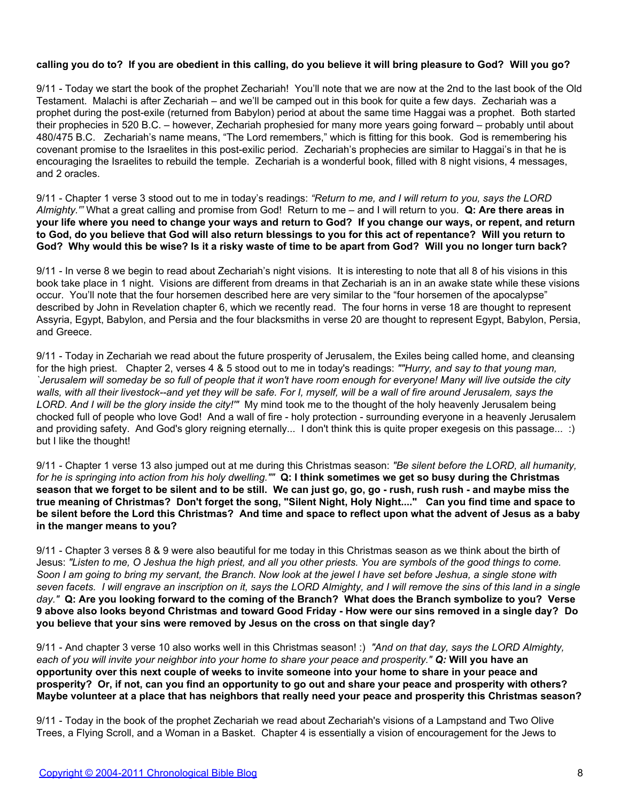# **calling you do to? If you are obedient in this calling, do you believe it will bring pleasure to God? Will you go?**

9/11 - Today we start the book of the prophet Zechariah! You'll note that we are now at the 2nd to the last book of the Old Testament. Malachi is after Zechariah – and we'll be camped out in this book for quite a few days. Zechariah was a prophet during the post-exile (returned from Babylon) period at about the same time Haggai was a prophet. Both started their prophecies in 520 B.C. – however, Zechariah prophesied for many more years going forward – probably until about 480/475 B.C. Zechariah's name means, "The Lord remembers," which is fitting for this book. God is remembering his covenant promise to the Israelites in this post-exilic period. Zechariah's prophecies are similar to Haggai's in that he is encouraging the Israelites to rebuild the temple. Zechariah is a wonderful book, filled with 8 night visions, 4 messages, and 2 oracles.

9/11 - Chapter 1 verse 3 stood out to me in today's readings: *"Return to me, and I will return to you, says the LORD Almighty.'"* What a great calling and promise from God! Return to me – and I will return to you. **Q: Are there areas in your life where you need to change your ways and return to God? If you change our ways, or repent, and return to God, do you believe that God will also return blessings to you for this act of repentance? Will you return to God? Why would this be wise? Is it a risky waste of time to be apart from God? Will you no longer turn back?**

9/11 - In verse 8 we begin to read about Zechariah's night visions. It is interesting to note that all 8 of his visions in this book take place in 1 night. Visions are different from dreams in that Zechariah is an in an awake state while these visions occur. You'll note that the four horsemen described here are very similar to the "four horsemen of the apocalypse" described by John in Revelation chapter 6, which we recently read. The four horns in verse 18 are thought to represent Assyria, Egypt, Babylon, and Persia and the four blacksmiths in verse 20 are thought to represent Egypt, Babylon, Persia, and Greece.

9/11 - Today in Zechariah we read about the future prosperity of Jerusalem, the Exiles being called home, and cleansing for the high priest. Chapter 2, verses 4 & 5 stood out to me in today's readings: *""Hurry, and say to that young man, `Jerusalem will someday be so full of people that it won't have room enough for everyone! Many will live outside the city walls, with all their livestock--and yet they will be safe. For I, myself, will be a wall of fire around Jerusalem, says the LORD. And I will be the glory inside the city!'"* My mind took me to the thought of the holy heavenly Jerusalem being chocked full of people who love God! And a wall of fire - holy protection - surrounding everyone in a heavenly Jerusalem and providing safety. And God's glory reigning eternally... I don't think this is quite proper exegesis on this passage... :) but I like the thought!

9/11 - Chapter 1 verse 13 also jumped out at me during this Christmas season: *"Be silent before the LORD, all humanity, for he is springing into action from his holy dwelling.""* **Q: I think sometimes we get so busy during the Christmas season that we forget to be silent and to be still. We can just go, go, go - rush, rush rush - and maybe miss the true meaning of Christmas? Don't forget the song, "Silent Night, Holy Night...." Can you find time and space to be silent before the Lord this Christmas? And time and space to reflect upon what the advent of Jesus as a baby in the manger means to you?**

9/11 - Chapter 3 verses 8 & 9 were also beautiful for me today in this Christmas season as we think about the birth of Jesus: *"Listen to me, O Jeshua the high priest, and all you other priests. You are symbols of the good things to come. Soon I am going to bring my servant, the Branch. Now look at the jewel I have set before Jeshua, a single stone with seven facets. I will engrave an inscription on it, says the LORD Almighty, and I will remove the sins of this land in a single day."* **Q: Are you looking forward to the coming of the Branch? What does the Branch symbolize to you? Verse 9 above also looks beyond Christmas and toward Good Friday - How were our sins removed in a single day? Do you believe that your sins were removed by Jesus on the cross on that single day?**

9/11 - And chapter 3 verse 10 also works well in this Christmas season! :) *"And on that day, says the LORD Almighty, each of you will invite your neighbor into your home to share your peace and prosperity." Q:* **Will you have an opportunity over this next couple of weeks to invite someone into your home to share in your peace and prosperity? Or, if not, can you find an opportunity to go out and share your peace and prosperity with others? Maybe volunteer at a place that has neighbors that really need your peace and prosperity this Christmas season?**

9/11 - Today in the book of the prophet Zechariah we read about Zechariah's visions of a Lampstand and Two Olive Trees, a Flying Scroll, and a Woman in a Basket. Chapter 4 is essentially a vision of encouragement for the Jews to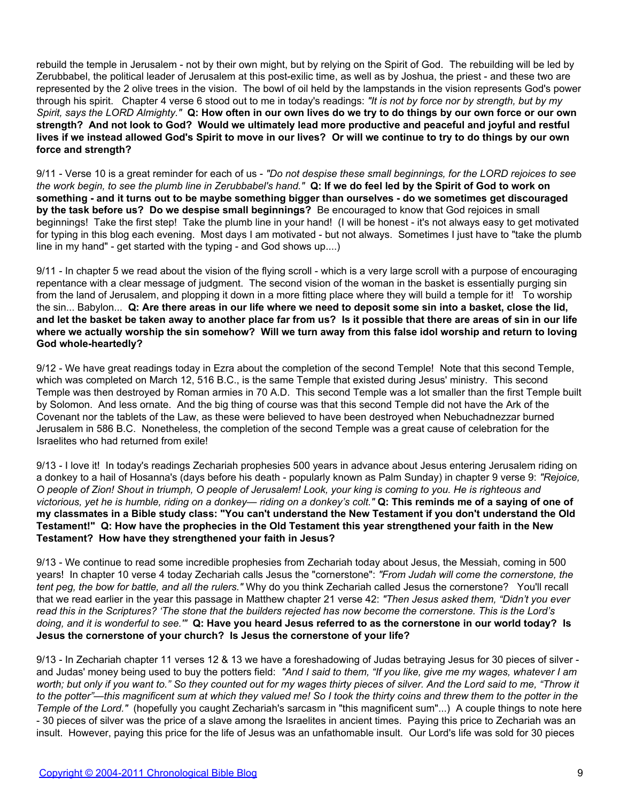rebuild the temple in Jerusalem - not by their own might, but by relying on the Spirit of God. The rebuilding will be led by Zerubbabel, the political leader of Jerusalem at this post-exilic time, as well as by Joshua, the priest - and these two are represented by the 2 olive trees in the vision. The bowl of oil held by the lampstands in the vision represents God's power through his spirit. Chapter 4 verse 6 stood out to me in today's readings: *"It is not by force nor by strength, but by my Spirit, says the LORD Almighty."* **Q: How often in our own lives do we try to do things by our own force or our own strength? And not look to God? Would we ultimately lead more productive and peaceful and joyful and restful lives if we instead allowed God's Spirit to move in our lives? Or will we continue to try to do things by our own force and strength?**

9/11 - Verse 10 is a great reminder for each of us - *"Do not despise these small beginnings, for the LORD rejoices to see the work begin, to see the plumb line in Zerubbabel's hand."* **Q: If we do feel led by the Spirit of God to work on something - and it turns out to be maybe something bigger than ourselves - do we sometimes get discouraged by the task before us? Do we despise small beginnings?** Be encouraged to know that God rejoices in small beginnings! Take the first step! Take the plumb line in your hand! (I will be honest - it's not always easy to get motivated for typing in this blog each evening. Most days I am motivated - but not always. Sometimes I just have to "take the plumb line in my hand" - get started with the typing - and God shows up....)

9/11 - In chapter 5 we read about the vision of the flying scroll - which is a very large scroll with a purpose of encouraging repentance with a clear message of judgment. The second vision of the woman in the basket is essentially purging sin from the land of Jerusalem, and plopping it down in a more fitting place where they will build a temple for it! To worship the sin... Babylon... **Q: Are there areas in our life where we need to deposit some sin into a basket, close the lid, and let the basket be taken away to another place far from us? Is it possible that there are areas of sin in our life where we actually worship the sin somehow? Will we turn away from this false idol worship and return to loving God whole-heartedly?**

9/12 - We have great readings today in Ezra about the completion of the second Temple! Note that this second Temple, which was completed on March 12, 516 B.C., is the same Temple that existed during Jesus' ministry. This second Temple was then destroyed by Roman armies in 70 A.D. This second Temple was a lot smaller than the first Temple built by Solomon. And less ornate. And the big thing of course was that this second Temple did not have the Ark of the Covenant nor the tablets of the Law, as these were believed to have been destroyed when Nebuchadnezzar burned Jerusalem in 586 B.C. Nonetheless, the completion of the second Temple was a great cause of celebration for the Israelites who had returned from exile!

9/13 - I love it! In today's readings Zechariah prophesies 500 years in advance about Jesus entering Jerusalem riding on a donkey to a hail of Hosanna's (days before his death - popularly known as Palm Sunday) in chapter 9 verse 9: *"Rejoice, O people of Zion! Shout in triumph, O people of Jerusalem! Look, your king is coming to you. He is righteous and victorious, yet he is humble, riding on a donkey— riding on a donkey's colt."* **Q: This reminds me of a saying of one of my classmates in a Bible study class: "You can't understand the New Testament if you don't understand the Old Testament!" Q: How have the prophecies in the Old Testament this year strengthened your faith in the New Testament? How have they strengthened your faith in Jesus?**

9/13 - We continue to read some incredible prophesies from Zechariah today about Jesus, the Messiah, coming in 500 years! In chapter 10 verse 4 today Zechariah calls Jesus the "cornerstone": *"From Judah will come the cornerstone, the tent peg, the bow for battle, and all the rulers."* Why do you think Zechariah called Jesus the cornerstone? You'll recall that we read earlier in the year this passage in Matthew chapter 21 verse 42: *"Then Jesus asked them, "Didn't you ever read this in the Scriptures? 'The stone that the builders rejected has now become the cornerstone. This is the Lord's doing, and it is wonderful to see.'"* **Q: Have you heard Jesus referred to as the cornerstone in our world today? Is Jesus the cornerstone of your church? Is Jesus the cornerstone of your life?**

9/13 - In Zechariah chapter 11 verses 12 & 13 we have a foreshadowing of Judas betraying Jesus for 30 pieces of silver and Judas' money being used to buy the potters field: *"And I said to them, "If you like, give me my wages, whatever I am worth; but only if you want to." So they counted out for my wages thirty pieces of silver. And the Lord said to me, "Throw it to the potter"—this magnificent sum at which they valued me! So I took the thirty coins and threw them to the potter in the Temple of the Lord."* (hopefully you caught Zechariah's sarcasm in "this magnificent sum"...) A couple things to note here - 30 pieces of silver was the price of a slave among the Israelites in ancient times. Paying this price to Zechariah was an insult. However, paying this price for the life of Jesus was an unfathomable insult. Our Lord's life was sold for 30 pieces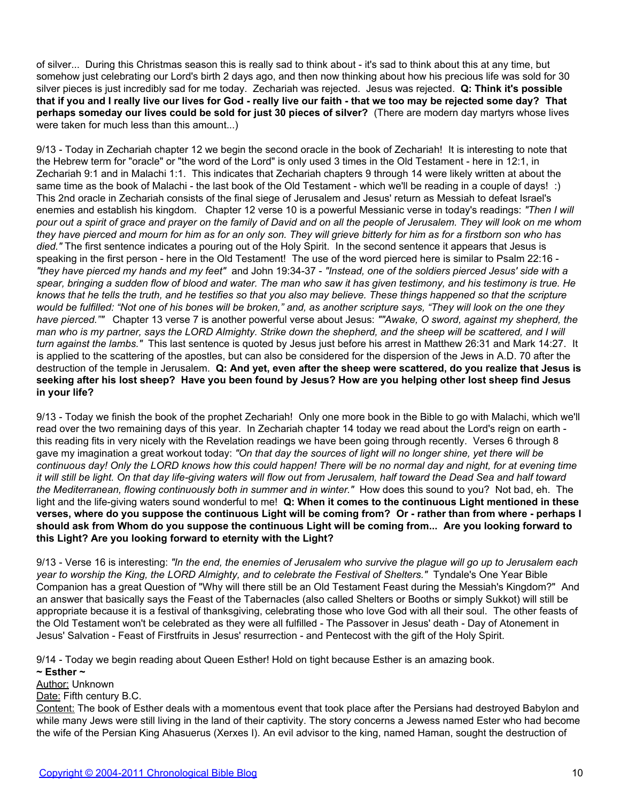of silver... During this Christmas season this is really sad to think about - it's sad to think about this at any time, but somehow just celebrating our Lord's birth 2 days ago, and then now thinking about how his precious life was sold for 30 silver pieces is just incredibly sad for me today. Zechariah was rejected. Jesus was rejected. **Q: Think it's possible that if you and I really live our lives for God - really live our faith - that we too may be rejected some day? That perhaps someday our lives could be sold for just 30 pieces of silver?** (There are modern day martyrs whose lives were taken for much less than this amount...)

9/13 - Today in Zechariah chapter 12 we begin the second oracle in the book of Zechariah! It is interesting to note that the Hebrew term for "oracle" or "the word of the Lord" is only used 3 times in the Old Testament - here in 12:1, in Zechariah 9:1 and in Malachi 1:1. This indicates that Zechariah chapters 9 through 14 were likely written at about the same time as the book of Malachi - the last book of the Old Testament - which we'll be reading in a couple of days! :) This 2nd oracle in Zechariah consists of the final siege of Jerusalem and Jesus' return as Messiah to defeat Israel's enemies and establish his kingdom. Chapter 12 verse 10 is a powerful Messianic verse in today's readings: *"Then I will pour out a spirit of grace and prayer on the family of David and on all the people of Jerusalem. They will look on me whom they have pierced and mourn for him as for an only son. They will grieve bitterly for him as for a firstborn son who has died."* The first sentence indicates a pouring out of the Holy Spirit. In the second sentence it appears that Jesus is speaking in the first person - here in the Old Testament! The use of the word pierced here is similar to Psalm 22:16 - *"they have pierced my hands and my feet"* and John 19:34-37 - *"Instead, one of the soldiers pierced Jesus' side with a spear, bringing a sudden flow of blood and water. The man who saw it has given testimony, and his testimony is true. He knows that he tells the truth, and he testifies so that you also may believe. These things happened so that the scripture would be fulfilled: "Not one of his bones will be broken," and, as another scripture says, "They will look on the one they have pierced.""* Chapter 13 verse 7 is another powerful verse about Jesus: *""Awake, O sword, against my shepherd, the man who is my partner, says the LORD Almighty. Strike down the shepherd, and the sheep will be scattered, and I will turn against the lambs."* This last sentence is quoted by Jesus just before his arrest in Matthew 26:31 and Mark 14:27. It is applied to the scattering of the apostles, but can also be considered for the dispersion of the Jews in A.D. 70 after the destruction of the temple in Jerusalem. **Q: And yet, even after the sheep were scattered, do you realize that Jesus is seeking after his lost sheep? Have you been found by Jesus? How are you helping other lost sheep find Jesus in your life?**

9/13 - Today we finish the book of the prophet Zechariah! Only one more book in the Bible to go with Malachi, which we'll read over the two remaining days of this year. In Zechariah chapter 14 today we read about the Lord's reign on earth this reading fits in very nicely with the Revelation readings we have been going through recently. Verses 6 through 8 gave my imagination a great workout today: *"On that day the sources of light will no longer shine, yet there will be continuous day! Only the LORD knows how this could happen! There will be no normal day and night, for at evening time it will still be light. On that day life-giving waters will flow out from Jerusalem, half toward the Dead Sea and half toward the Mediterranean, flowing continuously both in summer and in winter."* How does this sound to you? Not bad, eh. The light and the life-giving waters sound wonderful to me! **Q: When it comes to the continuous Light mentioned in these verses, where do you suppose the continuous Light will be coming from? Or - rather than from where - perhaps I should ask from Whom do you suppose the continuous Light will be coming from... Are you looking forward to this Light? Are you looking forward to eternity with the Light?**

9/13 - Verse 16 is interesting: *"In the end, the enemies of Jerusalem who survive the plague will go up to Jerusalem each year to worship the King, the LORD Almighty, and to celebrate the Festival of Shelters."* Tyndale's One Year Bible Companion has a great Question of "Why will there still be an Old Testament Feast during the Messiah's Kingdom?" And an answer that basically says the Feast of the Tabernacles (also called Shelters or Booths or simply Sukkot) will still be appropriate because it is a festival of thanksgiving, celebrating those who love God with all their soul. The other feasts of the Old Testament won't be celebrated as they were all fulfilled - The Passover in Jesus' death - Day of Atonement in Jesus' Salvation - Feast of Firstfruits in Jesus' resurrection - and Pentecost with the gift of the Holy Spirit.

9/14 - Today we begin reading about Queen Esther! Hold on tight because Esther is an amazing book.

**~ Esther ~**

Author: Unknown

Date: Fifth century B.C.

Content: The book of Esther deals with a momentous event that took place after the Persians had destroyed Babylon and while many Jews were still living in the land of their captivity. The story concerns a Jewess named Ester who had become the wife of the Persian King Ahasuerus (Xerxes I). An evil advisor to the king, named Haman, sought the destruction of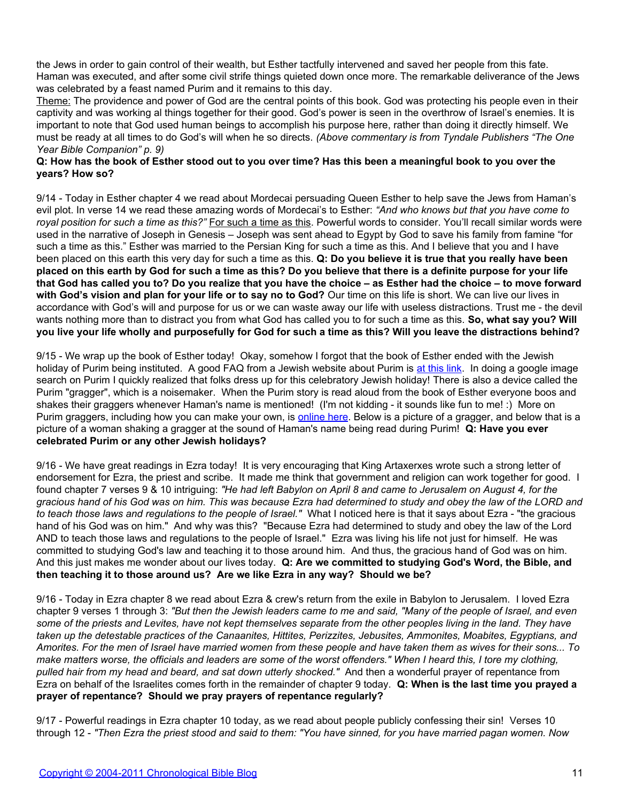the Jews in order to gain control of their wealth, but Esther tactfully intervened and saved her people from this fate. Haman was executed, and after some civil strife things quieted down once more. The remarkable deliverance of the Jews was celebrated by a feast named Purim and it remains to this day.

Theme: The providence and power of God are the central points of this book. God was protecting his people even in their captivity and was working al things together for their good. God's power is seen in the overthrow of Israel's enemies. It is important to note that God used human beings to accomplish his purpose here, rather than doing it directly himself. We must be ready at all times to do God's will when he so directs. *(Above commentary is from Tyndale Publishers "The One Year Bible Companion" p. 9)*

# **Q: How has the book of Esther stood out to you over time? Has this been a meaningful book to you over the years? How so?**

9/14 - Today in Esther chapter 4 we read about Mordecai persuading Queen Esther to help save the Jews from Haman's evil plot. In verse 14 we read these amazing words of Mordecai's to Esther: *"And who knows but that you have come to royal position for such a time as this?"* For such a time as this. Powerful words to consider. You'll recall similar words were used in the narrative of Joseph in Genesis – Joseph was sent ahead to Egypt by God to save his family from famine "for such a time as this." Esther was married to the Persian King for such a time as this. And I believe that you and I have been placed on this earth this very day for such a time as this. **Q: Do you believe it is true that you really have been placed on this earth by God for such a time as this? Do you believe that there is a definite purpose for your life that God has called you to? Do you realize that you have the choice – as Esther had the choice – to move forward with God's vision and plan for your life or to say no to God?** Our time on this life is short. We can live our lives in accordance with God's will and purpose for us or we can waste away our life with useless distractions. Trust me - the devil wants nothing more than to distract you from what God has called you to for such a time as this. **So, what say you? Will you live your life wholly and purposefully for God for such a time as this? Will you leave the distractions behind?**

9/15 - We wrap up the book of Esther today! Okay, somehow I forgot that the book of Esther ended with the Jewish holiday of Purim being instituted. A good FAQ from a Jewish website about Purim is [at this link](http://www.jewfaq.org/holiday9.htm). In doing a google image search on Purim I quickly realized that folks dress up for this celebratory Jewish holiday! There is also a device called the Purim "gragger", which is a noisemaker. When the Purim story is read aloud from the book of Esther everyone boos and shakes their graggers whenever Haman's name is mentioned! (I'm not kidding - it sounds like fun to me! :) More on Purim graggers, including how you can make your own, is [online here.](http://www.holidays.net/purim/gragger.html) Below is a picture of a gragger, and below that is a picture of a woman shaking a gragger at the sound of Haman's name being read during Purim! **Q: Have you ever celebrated Purim or any other Jewish holidays?**

9/16 - We have great readings in Ezra today! It is very encouraging that King Artaxerxes wrote such a strong letter of endorsement for Ezra, the priest and scribe. It made me think that government and religion can work together for good. I found chapter 7 verses 9 & 10 intriguing: *"He had left Babylon on April 8 and came to Jerusalem on August 4, for the gracious hand of his God was on him. This was because Ezra had determined to study and obey the law of the LORD and to teach those laws and regulations to the people of Israel."* What I noticed here is that it says about Ezra - "the gracious hand of his God was on him." And why was this? "Because Ezra had determined to study and obey the law of the Lord AND to teach those laws and regulations to the people of Israel." Ezra was living his life not just for himself. He was committed to studying God's law and teaching it to those around him. And thus, the gracious hand of God was on him. And this just makes me wonder about our lives today. **Q: Are we committed to studying God's Word, the Bible, and then teaching it to those around us? Are we like Ezra in any way? Should we be?**

9/16 - Today in Ezra chapter 8 we read about Ezra & crew's return from the exile in Babylon to Jerusalem. I loved Ezra chapter 9 verses 1 through 3: *"But then the Jewish leaders came to me and said, "Many of the people of Israel, and even some of the priests and Levites, have not kept themselves separate from the other peoples living in the land. They have taken up the detestable practices of the Canaanites, Hittites, Perizzites, Jebusites, Ammonites, Moabites, Egyptians, and Amorites. For the men of Israel have married women from these people and have taken them as wives for their sons... To make matters worse, the officials and leaders are some of the worst offenders." When I heard this, I tore my clothing, pulled hair from my head and beard, and sat down utterly shocked."* And then a wonderful prayer of repentance from Ezra on behalf of the Israelites comes forth in the remainder of chapter 9 today. **Q: When is the last time you prayed a prayer of repentance? Should we pray prayers of repentance regularly?**

9/17 - Powerful readings in Ezra chapter 10 today, as we read about people publicly confessing their sin! Verses 10 through 12 - *"Then Ezra the priest stood and said to them: "You have sinned, for you have married pagan women. Now*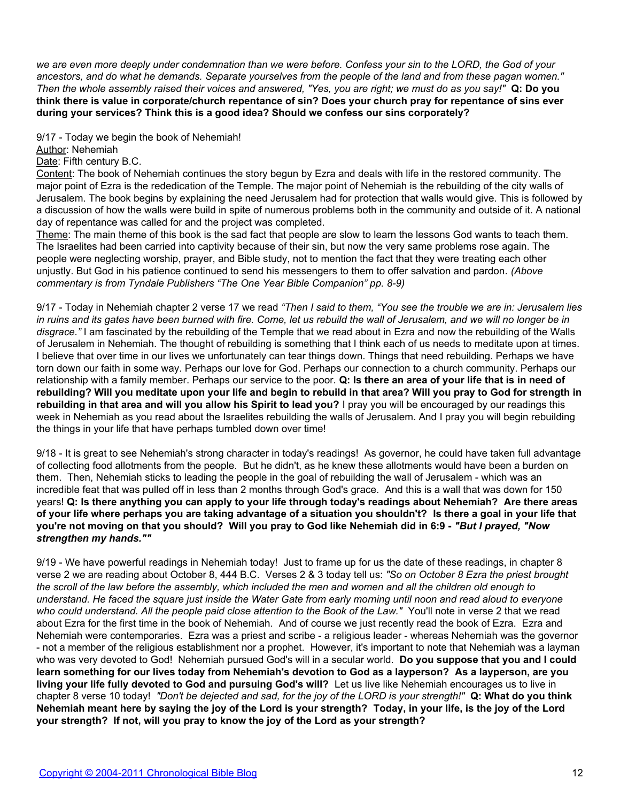*we are even more deeply under condemnation than we were before. Confess your sin to the LORD, the God of your ancestors, and do what he demands. Separate yourselves from the people of the land and from these pagan women." Then the whole assembly raised their voices and answered, "Yes, you are right; we must do as you say!"* **Q: Do you think there is value in corporate/church repentance of sin? Does your church pray for repentance of sins ever during your services? Think this is a good idea? Should we confess our sins corporately?**

9/17 - Today we begin the book of Nehemiah!

Author: Nehemiah

Date: Fifth century B.C.

Content: The book of Nehemiah continues the story begun by Ezra and deals with life in the restored community. The major point of Ezra is the rededication of the Temple. The major point of Nehemiah is the rebuilding of the city walls of Jerusalem. The book begins by explaining the need Jerusalem had for protection that walls would give. This is followed by a discussion of how the walls were build in spite of numerous problems both in the community and outside of it. A national day of repentance was called for and the project was completed.

Theme: The main theme of this book is the sad fact that people are slow to learn the lessons God wants to teach them. The Israelites had been carried into captivity because of their sin, but now the very same problems rose again. The people were neglecting worship, prayer, and Bible study, not to mention the fact that they were treating each other unjustly. But God in his patience continued to send his messengers to them to offer salvation and pardon. *(Above commentary is from Tyndale Publishers "The One Year Bible Companion" pp. 8-9)*

9/17 - Today in Nehemiah chapter 2 verse 17 we read *"Then I said to them, "You see the trouble we are in: Jerusalem lies in ruins and its gates have been burned with fire. Come, let us rebuild the wall of Jerusalem, and we will no longer be in disgrace."* I am fascinated by the rebuilding of the Temple that we read about in Ezra and now the rebuilding of the Walls of Jerusalem in Nehemiah. The thought of rebuilding is something that I think each of us needs to meditate upon at times. I believe that over time in our lives we unfortunately can tear things down. Things that need rebuilding. Perhaps we have torn down our faith in some way. Perhaps our love for God. Perhaps our connection to a church community. Perhaps our relationship with a family member. Perhaps our service to the poor. **Q: Is there an area of your life that is in need of rebuilding? Will you meditate upon your life and begin to rebuild in that area? Will you pray to God for strength in rebuilding in that area and will you allow his Spirit to lead you?** I pray you will be encouraged by our readings this week in Nehemiah as you read about the Israelites rebuilding the walls of Jerusalem. And I pray you will begin rebuilding the things in your life that have perhaps tumbled down over time!

9/18 - It is great to see Nehemiah's strong character in today's readings! As governor, he could have taken full advantage of collecting food allotments from the people. But he didn't, as he knew these allotments would have been a burden on them. Then, Nehemiah sticks to leading the people in the goal of rebuilding the wall of Jerusalem - which was an incredible feat that was pulled off in less than 2 months through God's grace. And this is a wall that was down for 150 years! **Q: Is there anything you can apply to your life through today's readings about Nehemiah? Are there areas of your life where perhaps you are taking advantage of a situation you shouldn't? Is there a goal in your life that you're not moving on that you should? Will you pray to God like Nehemiah did in 6:9 -** *"But I prayed, "Now strengthen my hands.""*

9/19 - We have powerful readings in Nehemiah today! Just to frame up for us the date of these readings, in chapter 8 verse 2 we are reading about October 8, 444 B.C. Verses 2 & 3 today tell us: *"So on October 8 Ezra the priest brought the scroll of the law before the assembly, which included the men and women and all the children old enough to understand. He faced the square just inside the Water Gate from early morning until noon and read aloud to everyone who could understand. All the people paid close attention to the Book of the Law."* You'll note in verse 2 that we read about Ezra for the first time in the book of Nehemiah. And of course we just recently read the book of Ezra. Ezra and Nehemiah were contemporaries. Ezra was a priest and scribe - a religious leader - whereas Nehemiah was the governor - not a member of the religious establishment nor a prophet. However, it's important to note that Nehemiah was a layman who was very devoted to God! Nehemiah pursued God's will in a secular world. **Do you suppose that you and I could learn something for our lives today from Nehemiah's devotion to God as a layperson? As a layperson, are you living your life fully devoted to God and pursuing God's will?** Let us live like Nehemiah encourages us to live in chapter 8 verse 10 today! *"Don't be dejected and sad, for the joy of the LORD is your strength!"* **Q: What do you think Nehemiah meant here by saying the joy of the Lord is your strength? Today, in your life, is the joy of the Lord your strength? If not, will you pray to know the joy of the Lord as your strength?**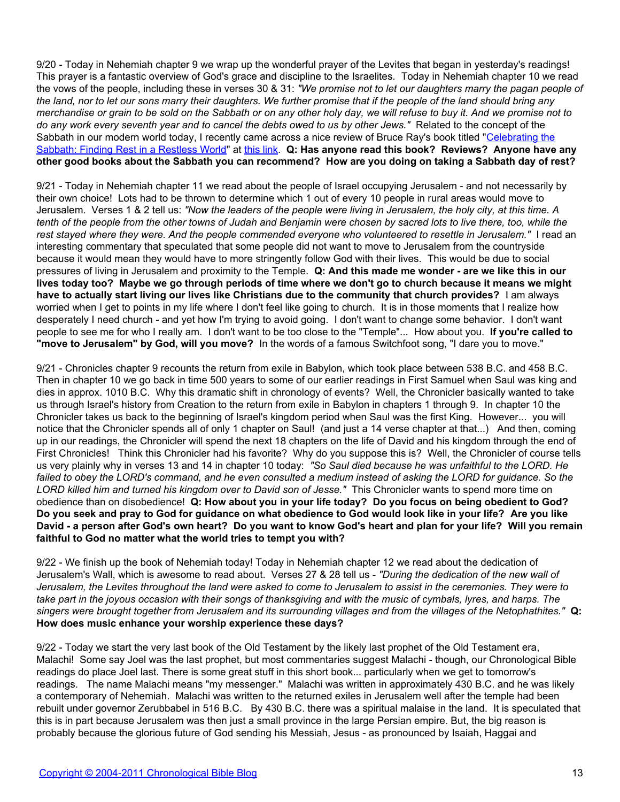9/20 - Today in Nehemiah chapter 9 we wrap up the wonderful prayer of the Levites that began in yesterday's readings! This prayer is a fantastic overview of God's grace and discipline to the Israelites. Today in Nehemiah chapter 10 we read the vows of the people, including these in verses 30 & 31: *"We promise not to let our daughters marry the pagan people of the land, nor to let our sons marry their daughters. We further promise that if the people of the land should bring any merchandise or grain to be sold on the Sabbath or on any other holy day, we will refuse to buy it. And we promise not to do any work every seventh year and to cancel the debts owed to us by other Jews."* Related to the concept of the Sabbath in our modern world today, I recently came across a nice review of Bruce Ray's book titled "[Celebrating the](http://www.christianbook.com/Christian/Books/product?item_no=43943&event=CF) [Sabbath: Finding Rest in a Restless World"](http://www.christianbook.com/Christian/Books/product?item_no=43943&event=CF) at [this link.](http://www.denverseminary.edu/dj/articles2006/0400/0409) **Q: Has anyone read this book? Reviews? Anyone have any other good books about the Sabbath you can recommend? How are you doing on taking a Sabbath day of rest?**

9/21 - Today in Nehemiah chapter 11 we read about the people of Israel occupying Jerusalem - and not necessarily by their own choice! Lots had to be thrown to determine which 1 out of every 10 people in rural areas would move to Jerusalem. Verses 1 & 2 tell us: *"Now the leaders of the people were living in Jerusalem, the holy city, at this time. A tenth of the people from the other towns of Judah and Benjamin were chosen by sacred lots to live there, too, while the rest stayed where they were. And the people commended everyone who volunteered to resettle in Jerusalem."* I read an interesting commentary that speculated that some people did not want to move to Jerusalem from the countryside because it would mean they would have to more stringently follow God with their lives. This would be due to social pressures of living in Jerusalem and proximity to the Temple. **Q: And this made me wonder - are we like this in our lives today too? Maybe we go through periods of time where we don't go to church because it means we might have to actually start living our lives like Christians due to the community that church provides?** I am always worried when I get to points in my life where I don't feel like going to church. It is in those moments that I realize how desperately I need church - and yet how I'm trying to avoid going. I don't want to change some behavior. I don't want people to see me for who I really am. I don't want to be too close to the "Temple"... How about you. **If you're called to "move to Jerusalem" by God, will you move?** In the words of a famous Switchfoot song, "I dare you to move."

9/21 - Chronicles chapter 9 recounts the return from exile in Babylon, which took place between 538 B.C. and 458 B.C. Then in chapter 10 we go back in time 500 years to some of our earlier readings in First Samuel when Saul was king and dies in approx. 1010 B.C. Why this dramatic shift in chronology of events? Well, the Chronicler basically wanted to take us through Israel's history from Creation to the return from exile in Babylon in chapters 1 through 9. In chapter 10 the Chronicler takes us back to the beginning of Israel's kingdom period when Saul was the first King. However... you will notice that the Chronicler spends all of only 1 chapter on Saul! (and just a 14 verse chapter at that...) And then, coming up in our readings, the Chronicler will spend the next 18 chapters on the life of David and his kingdom through the end of First Chronicles! Think this Chronicler had his favorite? Why do you suppose this is? Well, the Chronicler of course tells us very plainly why in verses 13 and 14 in chapter 10 today: *"So Saul died because he was unfaithful to the LORD. He failed to obey the LORD's command, and he even consulted a medium instead of asking the LORD for guidance. So the LORD killed him and turned his kingdom over to David son of Jesse."* This Chronicler wants to spend more time on obedience than on disobedience! **Q: How about you in your life today? Do you focus on being obedient to God? Do you seek and pray to God for guidance on what obedience to God would look like in your life? Are you like David - a person after God's own heart? Do you want to know God's heart and plan for your life? Will you remain faithful to God no matter what the world tries to tempt you with?**

9/22 - We finish up the book of Nehemiah today! Today in Nehemiah chapter 12 we read about the dedication of Jerusalem's Wall, which is awesome to read about. Verses 27 & 28 tell us - *"During the dedication of the new wall of Jerusalem, the Levites throughout the land were asked to come to Jerusalem to assist in the ceremonies. They were to take part in the joyous occasion with their songs of thanksgiving and with the music of cymbals, lyres, and harps. The singers were brought together from Jerusalem and its surrounding villages and from the villages of the Netophathites."* **Q: How does music enhance your worship experience these days?**

9/22 - Today we start the very last book of the Old Testament by the likely last prophet of the Old Testament era, Malachi! Some say Joel was the last prophet, but most commentaries suggest Malachi - though, our Chronological Bible readings do place Joel last. There is some great stuff in this short book... particularly when we get to tomorrow's readings. The name Malachi means "my messenger." Malachi was written in approximately 430 B.C. and he was likely a contemporary of Nehemiah. Malachi was written to the returned exiles in Jerusalem well after the temple had been rebuilt under governor Zerubbabel in 516 B.C. By 430 B.C. there was a spiritual malaise in the land. It is speculated that this is in part because Jerusalem was then just a small province in the large Persian empire. But, the big reason is probably because the glorious future of God sending his Messiah, Jesus - as pronounced by Isaiah, Haggai and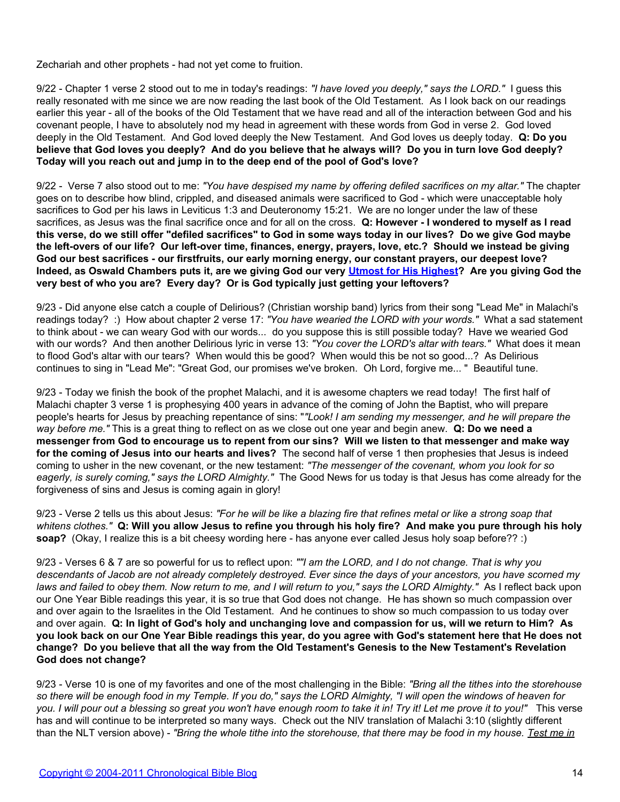Zechariah and other prophets - had not yet come to fruition.

9/22 - Chapter 1 verse 2 stood out to me in today's readings: *"I have loved you deeply," says the LORD."* I guess this really resonated with me since we are now reading the last book of the Old Testament. As I look back on our readings earlier this year - all of the books of the Old Testament that we have read and all of the interaction between God and his covenant people, I have to absolutely nod my head in agreement with these words from God in verse 2. God loved deeply in the Old Testament. And God loved deeply the New Testament. And God loves us deeply today. **Q: Do you believe that God loves you deeply? And do you believe that he always will? Do you in turn love God deeply? Today will you reach out and jump in to the deep end of the pool of God's love?**

9/22 - Verse 7 also stood out to me: *"You have despised my name by offering defiled sacrifices on my altar."* The chapter goes on to describe how blind, crippled, and diseased animals were sacrificed to God - which were unacceptable holy sacrifices to God per his laws in Leviticus 1:3 and Deuteronomy 15:21. We are no longer under the law of these sacrifices, as Jesus was the final sacrifice once and for all on the cross. **Q: However - I wondered to myself as I read this verse, do we still offer "defiled sacrifices" to God in some ways today in our lives? Do we give God maybe the left-overs of our life? Our left-over time, finances, energy, prayers, love, etc.? Should we instead be giving God our best sacrifices - our firstfruits, our early morning energy, our constant prayers, our deepest love? Indeed, as Oswald Chambers puts it, are we giving God our very [Utmost for His Highest?](http://www.rbc.org/utmost/) Are you giving God the very best of who you are? Every day? Or is God typically just getting your leftovers?**

9/23 - Did anyone else catch a couple of Delirious? (Christian worship band) lyrics from their song "Lead Me" in Malachi's readings today? :) How about chapter 2 verse 17: *"You have wearied the LORD with your words."* What a sad statement to think about - we can weary God with our words... do you suppose this is still possible today? Have we wearied God with our words? And then another Delirious lyric in verse 13: *"You cover the LORD's altar with tears."* What does it mean to flood God's altar with our tears? When would this be good? When would this be not so good...? As Delirious continues to sing in "Lead Me": "Great God, our promises we've broken. Oh Lord, forgive me... " Beautiful tune.

9/23 - Today we finish the book of the prophet Malachi, and it is awesome chapters we read today! The first half of Malachi chapter 3 verse 1 is prophesying 400 years in advance of the coming of John the Baptist, who will prepare people's hearts for Jesus by preaching repentance of sins: "*"Look! I am sending my messenger, and he will prepare the way before me."* This is a great thing to reflect on as we close out one year and begin anew. **Q: Do we need a messenger from God to encourage us to repent from our sins? Will we listen to that messenger and make way for the coming of Jesus into our hearts and lives?** The second half of verse 1 then prophesies that Jesus is indeed coming to usher in the new covenant, or the new testament: *"The messenger of the covenant, whom you look for so eagerly, is surely coming," says the LORD Almighty."* The Good News for us today is that Jesus has come already for the forgiveness of sins and Jesus is coming again in glory!

9/23 - Verse 2 tells us this about Jesus: *"For he will be like a blazing fire that refines metal or like a strong soap that whitens clothes."* **Q: Will you allow Jesus to refine you through his holy fire? And make you pure through his holy soap?** (Okay, I realize this is a bit cheesy wording here - has anyone ever called Jesus holy soap before?? :)

9/23 - Verses 6 & 7 are so powerful for us to reflect upon: *""I am the LORD, and I do not change. That is why you descendants of Jacob are not already completely destroyed. Ever since the days of your ancestors, you have scorned my laws and failed to obey them. Now return to me, and I will return to you," says the LORD Almighty."* As I reflect back upon our One Year Bible readings this year, it is so true that God does not change. He has shown so much compassion over and over again to the Israelites in the Old Testament. And he continues to show so much compassion to us today over and over again. **Q: In light of God's holy and unchanging love and compassion for us, will we return to Him? As you look back on our One Year Bible readings this year, do you agree with God's statement here that He does not change? Do you believe that all the way from the Old Testament's Genesis to the New Testament's Revelation God does not change?**

9/23 - Verse 10 is one of my favorites and one of the most challenging in the Bible: *"Bring all the tithes into the storehouse so there will be enough food in my Temple. If you do," says the LORD Almighty, "I will open the windows of heaven for you. I will pour out a blessing so great you won't have enough room to take it in! Try it! Let me prove it to you!"* This verse has and will continue to be interpreted so many ways. Check out the NIV translation of Malachi 3:10 (slightly different than the NLT version above) - *"Bring the whole tithe into the storehouse, that there may be food in my house. Test me in*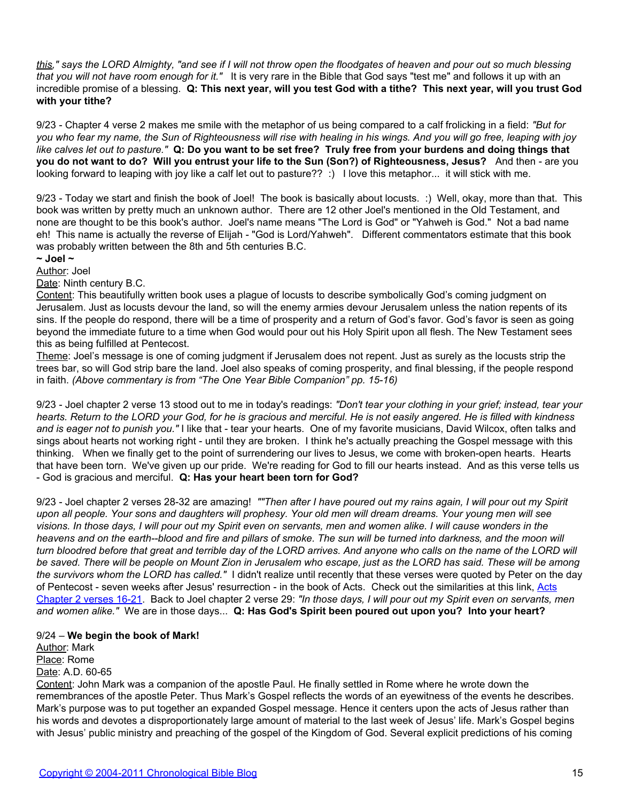*this," says the LORD Almighty, "and see if I will not throw open the floodgates of heaven and pour out so much blessing that you will not have room enough for it."* It is very rare in the Bible that God says "test me" and follows it up with an incredible promise of a blessing. **Q: This next year, will you test God with a tithe? This next year, will you trust God with your tithe?**

9/23 - Chapter 4 verse 2 makes me smile with the metaphor of us being compared to a calf frolicking in a field: *"But for you who fear my name, the Sun of Righteousness will rise with healing in his wings. And you will go free, leaping with joy like calves let out to pasture."* **Q: Do you want to be set free? Truly free from your burdens and doing things that you do not want to do? Will you entrust your life to the Sun (Son?) of Righteousness, Jesus?** And then - are you looking forward to leaping with joy like a calf let out to pasture?? :) I love this metaphor... it will stick with me.

9/23 - Today we start and finish the book of Joel! The book is basically about locusts. :) Well, okay, more than that. This book was written by pretty much an unknown author. There are 12 other Joel's mentioned in the Old Testament, and none are thought to be this book's author. Joel's name means "The Lord is God" or "Yahweh is God." Not a bad name eh! This name is actually the reverse of Elijah - "God is Lord/Yahweh". Different commentators estimate that this book was probably written between the 8th and 5th centuries B.C.

**~ Joel ~**

Author: Joel

Date: Ninth century B.C.

Content: This beautifully written book uses a plague of locusts to describe symbolically God's coming judgment on Jerusalem. Just as locusts devour the land, so will the enemy armies devour Jerusalem unless the nation repents of its sins. If the people do respond, there will be a time of prosperity and a return of God's favor. God's favor is seen as going beyond the immediate future to a time when God would pour out his Holy Spirit upon all flesh. The New Testament sees this as being fulfilled at Pentecost.

Theme: Joel's message is one of coming judgment if Jerusalem does not repent. Just as surely as the locusts strip the trees bar, so will God strip bare the land. Joel also speaks of coming prosperity, and final blessing, if the people respond in faith. *(Above commentary is from "The One Year Bible Companion" pp. 15-16)*

9/23 - Joel chapter 2 verse 13 stood out to me in today's readings: *"Don't tear your clothing in your grief; instead, tear your hearts. Return to the LORD your God, for he is gracious and merciful. He is not easily angered. He is filled with kindness and is eager not to punish you."* I like that - tear your hearts. One of my favorite musicians, David Wilcox, often talks and sings about hearts not working right - until they are broken. I think he's actually preaching the Gospel message with this thinking. When we finally get to the point of surrendering our lives to Jesus, we come with broken-open hearts. Hearts that have been torn. We've given up our pride. We're reading for God to fill our hearts instead. And as this verse tells us - God is gracious and merciful. **Q: Has your heart been torn for God?**

9/23 - Joel chapter 2 verses 28-32 are amazing! *""Then after I have poured out my rains again, I will pour out my Spirit upon all people. Your sons and daughters will prophesy. Your old men will dream dreams. Your young men will see visions. In those days, I will pour out my Spirit even on servants, men and women alike. I will cause wonders in the heavens and on the earth--blood and fire and pillars of smoke. The sun will be turned into darkness, and the moon will turn bloodred before that great and terrible day of the LORD arrives. And anyone who calls on the name of the LORD will be saved. There will be people on Mount Zion in Jerusalem who escape, just as the LORD has said. These will be among the survivors whom the LORD has called."* I didn't realize until recently that these verses were quoted by Peter on the day of Pentecost - seven weeks after Jesus' resurrection - in the book of Acts. Check out the similarities at this link, [Acts](http://www.biblegateway.com/passage/index.php?search=acts%202:16-21) [Chapter 2 verses 16-21.](http://www.biblegateway.com/passage/index.php?search=acts%202:16-21) Back to Joel chapter 2 verse 29: *"In those days, I will pour out my Spirit even on servants, men and women alike."* We are in those days... **Q: Has God's Spirit been poured out upon you? Into your heart?**

# 9/24 – **We begin the book of Mark!**

Author: Mark Place: Rome Date: A.D. 60-65

Content: John Mark was a companion of the apostle Paul. He finally settled in Rome where he wrote down the remembrances of the apostle Peter. Thus Mark's Gospel reflects the words of an eyewitness of the events he describes. Mark's purpose was to put together an expanded Gospel message. Hence it centers upon the acts of Jesus rather than his words and devotes a disproportionately large amount of material to the last week of Jesus' life. Mark's Gospel begins with Jesus' public ministry and preaching of the gospel of the Kingdom of God. Several explicit predictions of his coming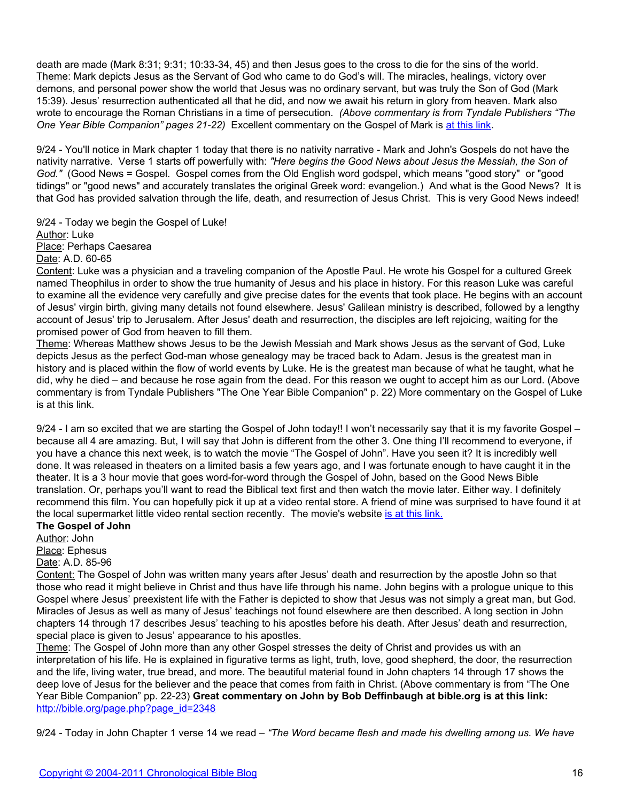death are made (Mark 8:31; 9:31; 10:33-34, 45) and then Jesus goes to the cross to die for the sins of the world. Theme: Mark depicts Jesus as the Servant of God who came to do God's will. The miracles, healings, victory over demons, and personal power show the world that Jesus was no ordinary servant, but was truly the Son of God (Mark 15:39). Jesus' resurrection authenticated all that he did, and now we await his return in glory from heaven. Mark also wrote to encourage the Roman Christians in a time of persecution. *(Above commentary is from Tyndale Publishers "The One Year Bible Companion" pages 21-22)* Excellent commentary on the Gospel of Mark is [at this link](http://blank/).

9/24 - You'll notice in Mark chapter 1 today that there is no nativity narrative - Mark and John's Gospels do not have the nativity narrative. Verse 1 starts off powerfully with: *"Here begins the Good News about Jesus the Messiah, the Son of God."* (Good News = Gospel. Gospel comes from the Old English word godspel, which means "good story" or "good tidings" or "good news" and accurately translates the original Greek word: evangelion.) And what is the Good News? It is that God has provided salvation through the life, death, and resurrection of Jesus Christ. This is very Good News indeed!

9/24 - Today we begin the Gospel of Luke! Author: Luke Place: Perhaps Caesarea Date: A.D. 60-65

Content: Luke was a physician and a traveling companion of the Apostle Paul. He wrote his Gospel for a cultured Greek named Theophilus in order to show the true humanity of Jesus and his place in history. For this reason Luke was careful to examine all the evidence very carefully and give precise dates for the events that took place. He begins with an account of Jesus' virgin birth, giving many details not found elsewhere. Jesus' Galilean ministry is described, followed by a lengthy account of Jesus' trip to Jerusalem. After Jesus' death and resurrection, the disciples are left rejoicing, waiting for the promised power of God from heaven to fill them.

Theme: Whereas Matthew shows Jesus to be the Jewish Messiah and Mark shows Jesus as the servant of God, Luke depicts Jesus as the perfect God-man whose genealogy may be traced back to Adam. Jesus is the greatest man in history and is placed within the flow of world events by Luke. He is the greatest man because of what he taught, what he did, why he died – and because he rose again from the dead. For this reason we ought to accept him as our Lord. (Above commentary is from Tyndale Publishers "The One Year Bible Companion" p. 22) More commentary on the Gospel of Luke is at this link.

9/24 - I am so excited that we are starting the Gospel of John today!! I won't necessarily say that it is my favorite Gospel – because all 4 are amazing. But, I will say that John is different from the other 3. One thing I'll recommend to everyone, if you have a chance this next week, is to watch the movie "The Gospel of John". Have you seen it? It is incredibly well done. It was released in theaters on a limited basis a few years ago, and I was fortunate enough to have caught it in the theater. It is a 3 hour movie that goes word-for-word through the Gospel of John, based on the Good News Bible translation. Or, perhaps you'll want to read the Biblical text first and then watch the movie later. Either way. I definitely recommend this film. You can hopefully pick it up at a video rental store. A friend of mine was surprised to have found it at the local supermarket little video rental section recently. The movie's website [is at this link.](http://blank/)

# **The Gospel of John**

Author: John Place: Ephesus Date: A.D. 85-96

Content: The Gospel of John was written many years after Jesus' death and resurrection by the apostle John so that those who read it might believe in Christ and thus have life through his name. John begins with a prologue unique to this Gospel where Jesus' preexistent life with the Father is depicted to show that Jesus was not simply a great man, but God. Miracles of Jesus as well as many of Jesus' teachings not found elsewhere are then described. A long section in John chapters 14 through 17 describes Jesus' teaching to his apostles before his death. After Jesus' death and resurrection, special place is given to Jesus' appearance to his apostles.

Theme: The Gospel of John more than any other Gospel stresses the deity of Christ and provides us with an interpretation of his life. He is explained in figurative terms as light, truth, love, good shepherd, the door, the resurrection and the life, living water, true bread, and more. The beautiful material found in John chapters 14 through 17 shows the deep love of Jesus for the believer and the peace that comes from faith in Christ. (Above commentary is from "The One Year Bible Companion" pp. 22-23) **Great commentary on John by Bob Deffinbaugh at bible.org is at this link:** [http://bible.org/page.php?page\\_id=2348](http://blank/)

9/24 - Today in John Chapter 1 verse 14 we read – *"The Word became flesh and made his dwelling among us. We have*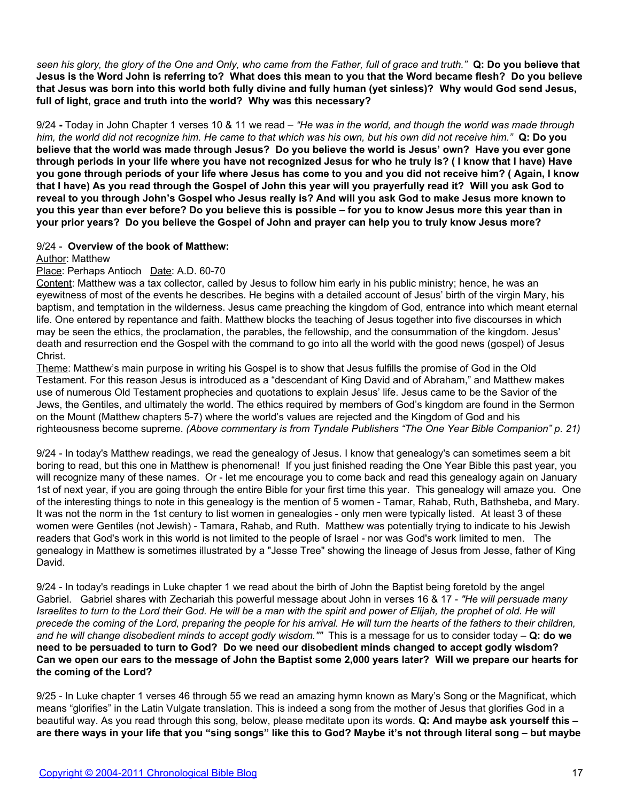*seen his glory, the glory of the One and Only, who came from the Father, full of grace and truth."* **Q: Do you believe that Jesus is the Word John is referring to? What does this mean to you that the Word became flesh? Do you believe that Jesus was born into this world both fully divine and fully human (yet sinless)? Why would God send Jesus, full of light, grace and truth into the world? Why was this necessary?**

9/24 **-** Today in John Chapter 1 verses 10 & 11 we read – *"He was in the world, and though the world was made through him, the world did not recognize him. He came to that which was his own, but his own did not receive him."* **Q: Do you believe that the world was made through Jesus? Do you believe the world is Jesus' own? Have you ever gone through periods in your life where you have not recognized Jesus for who he truly is? ( I know that I have) Have you gone through periods of your life where Jesus has come to you and you did not receive him? ( Again, I know that I have) As you read through the Gospel of John this year will you prayerfully read it? Will you ask God to reveal to you through John's Gospel who Jesus really is? And will you ask God to make Jesus more known to you this year than ever before? Do you believe this is possible – for you to know Jesus more this year than in your prior years? Do you believe the Gospel of John and prayer can help you to truly know Jesus more?**

### 9/24 - **Overview of the book of Matthew:**

Author: Matthew

### Place: Perhaps Antioch Date: A.D. 60-70

Content: Matthew was a tax collector, called by Jesus to follow him early in his public ministry; hence, he was an eyewitness of most of the events he describes. He begins with a detailed account of Jesus' birth of the virgin Mary, his baptism, and temptation in the wilderness. Jesus came preaching the kingdom of God, entrance into which meant eternal life. One entered by repentance and faith. Matthew blocks the teaching of Jesus together into five discourses in which may be seen the ethics, the proclamation, the parables, the fellowship, and the consummation of the kingdom. Jesus' death and resurrection end the Gospel with the command to go into all the world with the good news (gospel) of Jesus Christ.

Theme: Matthew's main purpose in writing his Gospel is to show that Jesus fulfills the promise of God in the Old Testament. For this reason Jesus is introduced as a "descendant of King David and of Abraham," and Matthew makes use of numerous Old Testament prophecies and quotations to explain Jesus' life. Jesus came to be the Savior of the Jews, the Gentiles, and ultimately the world. The ethics required by members of God's kingdom are found in the Sermon on the Mount (Matthew chapters 5-7) where the world's values are rejected and the Kingdom of God and his righteousness become supreme. *(Above commentary is from Tyndale Publishers "The One Year Bible Companion" p. 21)*

9/24 - In today's Matthew readings, we read the genealogy of Jesus. I know that genealogy's can sometimes seem a bit boring to read, but this one in Matthew is phenomenal! If you just finished reading the One Year Bible this past year, you will recognize many of these names. Or - let me encourage you to come back and read this genealogy again on January 1st of next year, if you are going through the entire Bible for your first time this year. This genealogy will amaze you. One of the interesting things to note in this genealogy is the mention of 5 women - Tamar, Rahab, Ruth, Bathsheba, and Mary. It was not the norm in the 1st century to list women in genealogies - only men were typically listed. At least 3 of these women were Gentiles (not Jewish) - Tamara, Rahab, and Ruth. Matthew was potentially trying to indicate to his Jewish readers that God's work in this world is not limited to the people of Israel - nor was God's work limited to men. The genealogy in Matthew is sometimes illustrated by a "Jesse Tree" showing the lineage of Jesus from Jesse, father of King David.

9/24 - In today's readings in Luke chapter 1 we read about the birth of John the Baptist being foretold by the angel Gabriel. Gabriel shares with Zechariah this powerful message about John in verses 16 & 17 - *"He will persuade many Israelites to turn to the Lord their God. He will be a man with the spirit and power of Elijah, the prophet of old. He will precede the coming of the Lord, preparing the people for his arrival. He will turn the hearts of the fathers to their children, and he will change disobedient minds to accept godly wisdom.""* This is a message for us to consider today – **Q: do we need to be persuaded to turn to God? Do we need our disobedient minds changed to accept godly wisdom? Can we open our ears to the message of John the Baptist some 2,000 years later? Will we prepare our hearts for the coming of the Lord?**

9/25 - In Luke chapter 1 verses 46 through 55 we read an amazing hymn known as Mary's Song or the Magnificat, which means "glorifies" in the Latin Vulgate translation. This is indeed a song from the mother of Jesus that glorifies God in a beautiful way. As you read through this song, below, please meditate upon its words. **Q: And maybe ask yourself this – are there ways in your life that you "sing songs" like this to God? Maybe it's not through literal song – but maybe**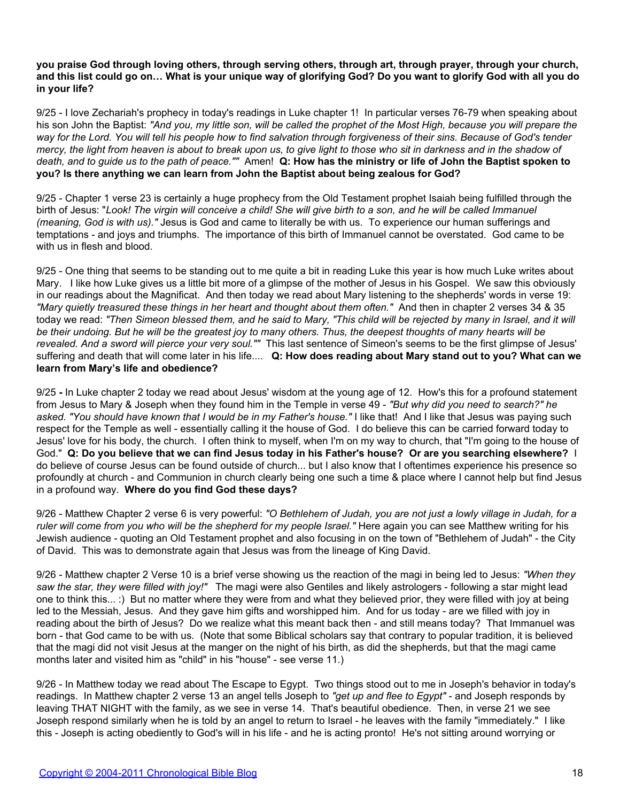**you praise God through loving others, through serving others, through art, through prayer, through your church, and this list could go on… What is your unique way of glorifying God? Do you want to glorify God with all you do in your life?**

9/25 - I love Zechariah's prophecy in today's readings in Luke chapter 1! In particular verses 76-79 when speaking about his son John the Baptist: *"And you, my little son, will be called the prophet of the Most High, because you will prepare the way for the Lord. You will tell his people how to find salvation through forgiveness of their sins. Because of God's tender mercy, the light from heaven is about to break upon us, to give light to those who sit in darkness and in the shadow of death, and to guide us to the path of peace.""* Amen! **Q: How has the ministry or life of John the Baptist spoken to you? Is there anything we can learn from John the Baptist about being zealous for God?**

9/25 - Chapter 1 verse 23 is certainly a huge prophecy from the Old Testament prophet Isaiah being fulfilled through the birth of Jesus: "*Look! The virgin will conceive a child! She will give birth to a son, and he will be called Immanuel (meaning, God is with us)."* Jesus is God and came to literally be with us. To experience our human sufferings and temptations - and joys and triumphs. The importance of this birth of Immanuel cannot be overstated. God came to be with us in flesh and blood.

9/25 - One thing that seems to be standing out to me quite a bit in reading Luke this year is how much Luke writes about Mary. I like how Luke gives us a little bit more of a glimpse of the mother of Jesus in his Gospel. We saw this obviously in our readings about the Magnificat. And then today we read about Mary listening to the shepherds' words in verse 19: *"Mary quietly treasured these things in her heart and thought about them often."* And then in chapter 2 verses 34 & 35 today we read: *"Then Simeon blessed them, and he said to Mary, "This child will be rejected by many in Israel, and it will be their undoing. But he will be the greatest joy to many others. Thus, the deepest thoughts of many hearts will be revealed. And a sword will pierce your very soul.""* This last sentence of Simeon's seems to be the first glimpse of Jesus' suffering and death that will come later in his life.... **Q: How does reading about Mary stand out to you? What can we learn from Mary's life and obedience?**

9/25 **-** In Luke chapter 2 today we read about Jesus' wisdom at the young age of 12. How's this for a profound statement from Jesus to Mary & Joseph when they found him in the Temple in verse 49 - *"But why did you need to search?" he asked. "You should have known that I would be in my Father's house."* I like that! And I like that Jesus was paying such respect for the Temple as well - essentially calling it the house of God. I do believe this can be carried forward today to Jesus' love for his body, the church. I often think to myself, when I'm on my way to church, that "I'm going to the house of God." **Q: Do you believe that we can find Jesus today in his Father's house? Or are you searching elsewhere?** I do believe of course Jesus can be found outside of church... but I also know that I oftentimes experience his presence so profoundly at church - and Communion in church clearly being one such a time & place where I cannot help but find Jesus in a profound way. **Where do you find God these days?**

9/26 - Matthew Chapter 2 verse 6 is very powerful: *"O Bethlehem of Judah, you are not just a lowly village in Judah, for a ruler will come from you who will be the shepherd for my people Israel."* Here again you can see Matthew writing for his Jewish audience - quoting an Old Testament prophet and also focusing in on the town of "Bethlehem of Judah" - the City of David. This was to demonstrate again that Jesus was from the lineage of King David.

9/26 - Matthew chapter 2 Verse 10 is a brief verse showing us the reaction of the magi in being led to Jesus: *"When they saw the star, they were filled with joy!"* The magi were also Gentiles and likely astrologers - following a star might lead one to think this... :) But no matter where they were from and what they believed prior, they were filled with joy at being led to the Messiah, Jesus. And they gave him gifts and worshipped him. And for us today - are we filled with joy in reading about the birth of Jesus? Do we realize what this meant back then - and still means today? That Immanuel was born - that God came to be with us. (Note that some Biblical scholars say that contrary to popular tradition, it is believed that the magi did not visit Jesus at the manger on the night of his birth, as did the shepherds, but that the magi came months later and visited him as "child" in his "house" - see verse 11.)

9/26 - In Matthew today we read about The Escape to Egypt. Two things stood out to me in Joseph's behavior in today's readings. In Matthew chapter 2 verse 13 an angel tells Joseph to *"get up and flee to Egypt"* - and Joseph responds by leaving THAT NIGHT with the family, as we see in verse 14. That's beautiful obedience. Then, in verse 21 we see Joseph respond similarly when he is told by an angel to return to Israel - he leaves with the family "immediately." I like this - Joseph is acting obediently to God's will in his life - and he is acting pronto! He's not sitting around worrying or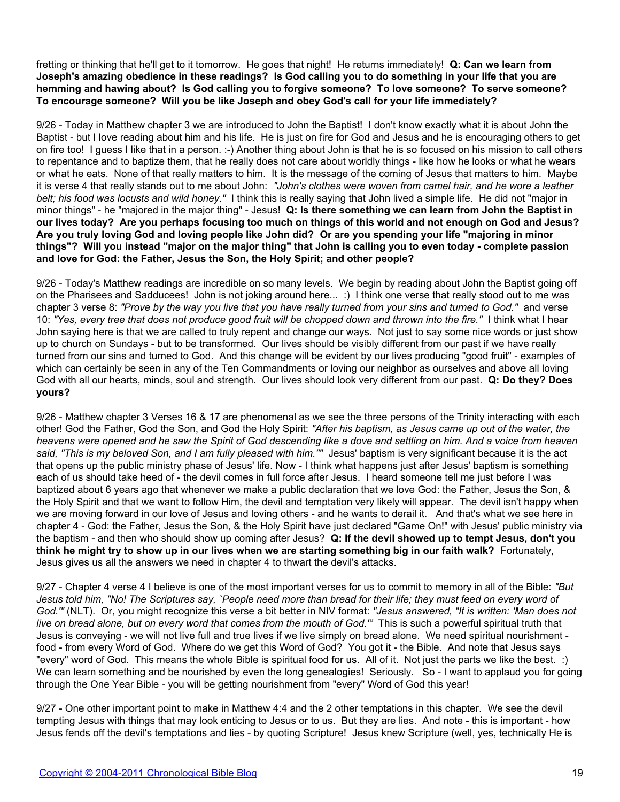fretting or thinking that he'll get to it tomorrow. He goes that night! He returns immediately! **Q: Can we learn from Joseph's amazing obedience in these readings? Is God calling you to do something in your life that you are hemming and hawing about? Is God calling you to forgive someone? To love someone? To serve someone? To encourage someone? Will you be like Joseph and obey God's call for your life immediately?**

9/26 - Today in Matthew chapter 3 we are introduced to John the Baptist! I don't know exactly what it is about John the Baptist - but I love reading about him and his life. He is just on fire for God and Jesus and he is encouraging others to get on fire too! I guess I like that in a person. :-) Another thing about John is that he is so focused on his mission to call others to repentance and to baptize them, that he really does not care about worldly things - like how he looks or what he wears or what he eats. None of that really matters to him. It is the message of the coming of Jesus that matters to him. Maybe it is verse 4 that really stands out to me about John: *"John's clothes were woven from camel hair, and he wore a leather belt; his food was locusts and wild honey."* I think this is really saying that John lived a simple life. He did not "major in minor things" - he "majored in the major thing" - Jesus! **Q: Is there something we can learn from John the Baptist in our lives today? Are you perhaps focusing too much on things of this world and not enough on God and Jesus? Are you truly loving God and loving people like John did? Or are you spending your life "majoring in minor things"? Will you instead "major on the major thing" that John is calling you to even today - complete passion and love for God: the Father, Jesus the Son, the Holy Spirit; and other people?**

9/26 - Today's Matthew readings are incredible on so many levels. We begin by reading about John the Baptist going off on the Pharisees and Sadducees! John is not joking around here... :) I think one verse that really stood out to me was chapter 3 verse 8: *"Prove by the way you live that you have really turned from your sins and turned to God."* and verse 10: *"Yes, every tree that does not produce good fruit will be chopped down and thrown into the fire."* I think what I hear John saying here is that we are called to truly repent and change our ways. Not just to say some nice words or just show up to church on Sundays - but to be transformed. Our lives should be visibly different from our past if we have really turned from our sins and turned to God. And this change will be evident by our lives producing "good fruit" - examples of which can certainly be seen in any of the Ten Commandments or loving our neighbor as ourselves and above all loving God with all our hearts, minds, soul and strength. Our lives should look very different from our past. **Q: Do they? Does yours?**

9/26 - Matthew chapter 3 Verses 16 & 17 are phenomenal as we see the three persons of the Trinity interacting with each other! God the Father, God the Son, and God the Holy Spirit: *"After his baptism, as Jesus came up out of the water, the heavens were opened and he saw the Spirit of God descending like a dove and settling on him. And a voice from heaven said, "This is my beloved Son, and I am fully pleased with him.""* Jesus' baptism is very significant because it is the act that opens up the public ministry phase of Jesus' life. Now - I think what happens just after Jesus' baptism is something each of us should take heed of - the devil comes in full force after Jesus. I heard someone tell me just before I was baptized about 6 years ago that whenever we make a public declaration that we love God: the Father, Jesus the Son, & the Holy Spirit and that we want to follow Him, the devil and temptation very likely will appear. The devil isn't happy when we are moving forward in our love of Jesus and loving others - and he wants to derail it. And that's what we see here in chapter 4 - God: the Father, Jesus the Son, & the Holy Spirit have just declared "Game On!" with Jesus' public ministry via the baptism - and then who should show up coming after Jesus? **Q: If the devil showed up to tempt Jesus, don't you think he might try to show up in our lives when we are starting something big in our faith walk?** Fortunately, Jesus gives us all the answers we need in chapter 4 to thwart the devil's attacks.

9/27 - Chapter 4 verse 4 I believe is one of the most important verses for us to commit to memory in all of the Bible: *"But Jesus told him, "No! The Scriptures say, `People need more than bread for their life; they must feed on every word of God.'"* (NLT). Or, you might recognize this verse a bit better in NIV format: *"Jesus answered, "It is written: 'Man does not live on bread alone, but on every word that comes from the mouth of God.'"* This is such a powerful spiritual truth that Jesus is conveying - we will not live full and true lives if we live simply on bread alone. We need spiritual nourishment food - from every Word of God. Where do we get this Word of God? You got it - the Bible. And note that Jesus says "every" word of God. This means the whole Bible is spiritual food for us. All of it. Not just the parts we like the best. :) We can learn something and be nourished by even the long genealogies! Seriously. So - I want to applaud you for going through the One Year Bible - you will be getting nourishment from "every" Word of God this year!

9/27 - One other important point to make in Matthew 4:4 and the 2 other temptations in this chapter. We see the devil tempting Jesus with things that may look enticing to Jesus or to us. But they are lies. And note - this is important - how Jesus fends off the devil's temptations and lies - by quoting Scripture! Jesus knew Scripture (well, yes, technically He is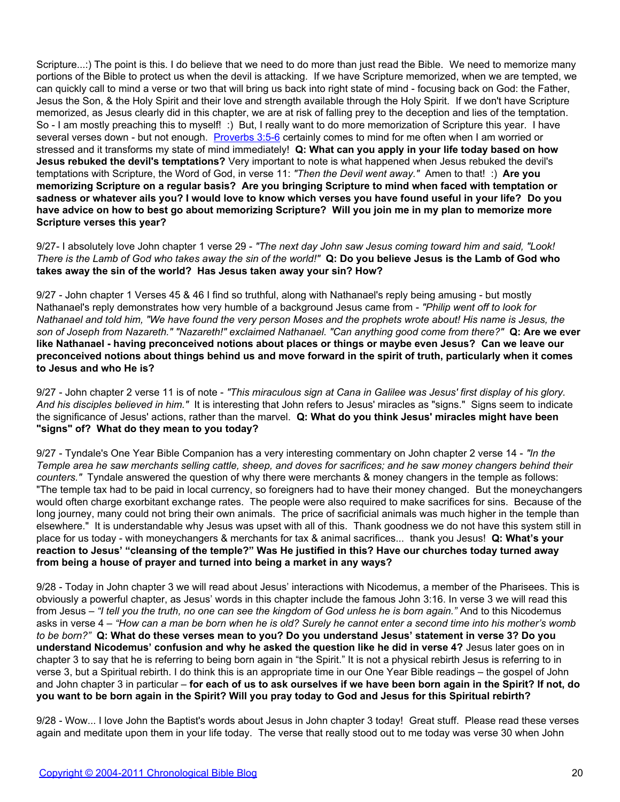Scripture...:) The point is this. I do believe that we need to do more than just read the Bible. We need to memorize many portions of the Bible to protect us when the devil is attacking. If we have Scripture memorized, when we are tempted, we can quickly call to mind a verse or two that will bring us back into right state of mind - focusing back on God: the Father, Jesus the Son, & the Holy Spirit and their love and strength available through the Holy Spirit. If we don't have Scripture memorized, as Jesus clearly did in this chapter, we are at risk of falling prey to the deception and lies of the temptation. So - I am mostly preaching this to myself! :) But, I really want to do more memorization of Scripture this year. I have several verses down - but not enough. [Proverbs 3:5-6](http://www.biblegateway.com/passage/?search=prov%203:5-6) certainly comes to mind for me often when I am worried or stressed and it transforms my state of mind immediately! **Q: What can you apply in your life today based on how Jesus rebuked the devil's temptations?** Very important to note is what happened when Jesus rebuked the devil's temptations with Scripture, the Word of God, in verse 11: *"Then the Devil went away."* Amen to that! :) **Are you memorizing Scripture on a regular basis? Are you bringing Scripture to mind when faced with temptation or sadness or whatever ails you? I would love to know which verses you have found useful in your life? Do you have advice on how to best go about memorizing Scripture? Will you join me in my plan to memorize more Scripture verses this year?**

9/27- I absolutely love John chapter 1 verse 29 - *"The next day John saw Jesus coming toward him and said, "Look! There is the Lamb of God who takes away the sin of the world!"* **Q: Do you believe Jesus is the Lamb of God who takes away the sin of the world? Has Jesus taken away your sin? How?**

9/27 - John chapter 1 Verses 45 & 46 I find so truthful, along with Nathanael's reply being amusing - but mostly Nathanael's reply demonstrates how very humble of a background Jesus came from - *"Philip went off to look for Nathanael and told him, "We have found the very person Moses and the prophets wrote about! His name is Jesus, the son of Joseph from Nazareth." "Nazareth!" exclaimed Nathanael. "Can anything good come from there?"* **Q: Are we ever like Nathanael - having preconceived notions about places or things or maybe even Jesus? Can we leave our preconceived notions about things behind us and move forward in the spirit of truth, particularly when it comes to Jesus and who He is?**

9/27 - John chapter 2 verse 11 is of note - *"This miraculous sign at Cana in Galilee was Jesus' first display of his glory. And his disciples believed in him."* It is interesting that John refers to Jesus' miracles as "signs." Signs seem to indicate the significance of Jesus' actions, rather than the marvel. **Q: What do you think Jesus' miracles might have been "signs" of? What do they mean to you today?**

9/27 - Tyndale's One Year Bible Companion has a very interesting commentary on John chapter 2 verse 14 - *"In the Temple area he saw merchants selling cattle, sheep, and doves for sacrifices; and he saw money changers behind their counters."* Tyndale answered the question of why there were merchants & money changers in the temple as follows: "The temple tax had to be paid in local currency, so foreigners had to have their money changed. But the moneychangers would often charge exorbitant exchange rates. The people were also required to make sacrifices for sins. Because of the long journey, many could not bring their own animals. The price of sacrificial animals was much higher in the temple than elsewhere." It is understandable why Jesus was upset with all of this. Thank goodness we do not have this system still in place for us today - with moneychangers & merchants for tax & animal sacrifices... thank you Jesus! **Q: What's your reaction to Jesus' "cleansing of the temple?" Was He justified in this? Have our churches today turned away from being a house of prayer and turned into being a market in any ways?**

9/28 - Today in John chapter 3 we will read about Jesus' interactions with Nicodemus, a member of the Pharisees. This is obviously a powerful chapter, as Jesus' words in this chapter include the famous John 3:16. In verse 3 we will read this from Jesus – *"I tell you the truth, no one can see the kingdom of God unless he is born again."* And to this Nicodemus asks in verse 4 – *"How can a man be born when he is old? Surely he cannot enter a second time into his mother's womb to be born?"* **Q: What do these verses mean to you? Do you understand Jesus' statement in verse 3? Do you understand Nicodemus' confusion and why he asked the question like he did in verse 4?** Jesus later goes on in chapter 3 to say that he is referring to being born again in "the Spirit." It is not a physical rebirth Jesus is referring to in verse 3, but a Spiritual rebirth. I do think this is an appropriate time in our One Year Bible readings – the gospel of John and John chapter 3 in particular – **for each of us to ask ourselves if we have been born again in the Spirit? If not, do you want to be born again in the Spirit? Will you pray today to God and Jesus for this Spiritual rebirth?**

9/28 - Wow... I love John the Baptist's words about Jesus in John chapter 3 today! Great stuff. Please read these verses again and meditate upon them in your life today. The verse that really stood out to me today was verse 30 when John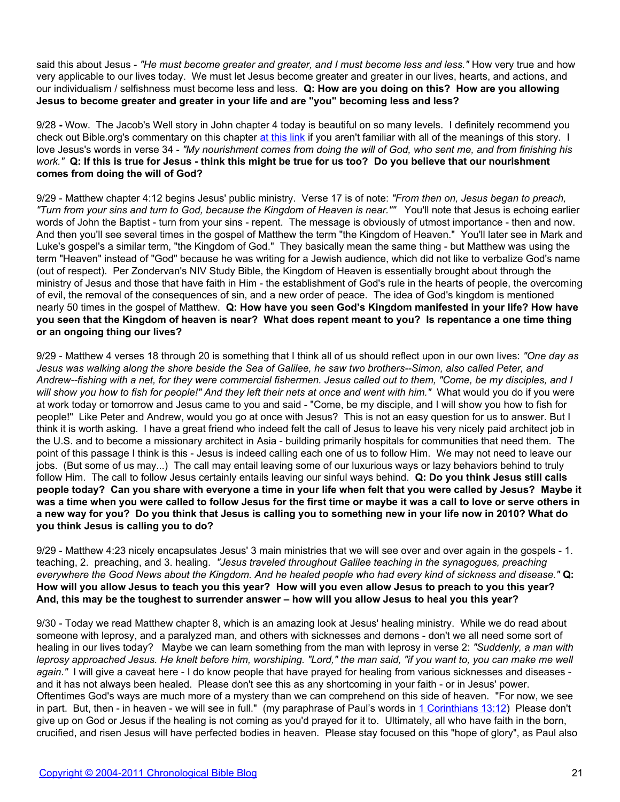said this about Jesus - *"He must become greater and greater, and I must become less and less."* How very true and how very applicable to our lives today. We must let Jesus become greater and greater in our lives, hearts, and actions, and our individualism / selfishness must become less and less. **Q: How are you doing on this? How are you allowing Jesus to become greater and greater in your life and are "you" becoming less and less?**

9/28 **-** Wow. The Jacob's Well story in John chapter 4 today is beautiful on so many levels. I definitely recommend you check out Bible.org's commentary on this chapter [at this link](http://blank/) if you aren't familiar with all of the meanings of this story. I love Jesus's words in verse 34 - *"My nourishment comes from doing the will of God, who sent me, and from finishing his work."* **Q: If this is true for Jesus - think this might be true for us too? Do you believe that our nourishment comes from doing the will of God?**

9/29 - Matthew chapter 4:12 begins Jesus' public ministry. Verse 17 is of note: *"From then on, Jesus began to preach, "Turn from your sins and turn to God, because the Kingdom of Heaven is near.""* You'll note that Jesus is echoing earlier words of John the Baptist - turn from your sins - repent. The message is obviously of utmost importance - then and now. And then you'll see several times in the gospel of Matthew the term "the Kingdom of Heaven." You'll later see in Mark and Luke's gospel's a similar term, "the Kingdom of God." They basically mean the same thing - but Matthew was using the term "Heaven" instead of "God" because he was writing for a Jewish audience, which did not like to verbalize God's name (out of respect). Per Zondervan's NIV Study Bible, the Kingdom of Heaven is essentially brought about through the ministry of Jesus and those that have faith in Him - the establishment of God's rule in the hearts of people, the overcoming of evil, the removal of the consequences of sin, and a new order of peace. The idea of God's kingdom is mentioned nearly 50 times in the gospel of Matthew. **Q: How have you seen God's Kingdom manifested in your life? How have you seen that the Kingdom of heaven is near? What does repent meant to you? Is repentance a one time thing or an ongoing thing our lives?**

9/29 - Matthew 4 verses 18 through 20 is something that I think all of us should reflect upon in our own lives: *"One day as Jesus was walking along the shore beside the Sea of Galilee, he saw two brothers--Simon, also called Peter, and Andrew--fishing with a net, for they were commercial fishermen. Jesus called out to them, "Come, be my disciples, and I will show you how to fish for people!" And they left their nets at once and went with him."* What would you do if you were at work today or tomorrow and Jesus came to you and said - "Come, be my disciple, and I will show you how to fish for people!" Like Peter and Andrew, would you go at once with Jesus? This is not an easy question for us to answer. But I think it is worth asking. I have a great friend who indeed felt the call of Jesus to leave his very nicely paid architect job in the U.S. and to become a missionary architect in Asia - building primarily hospitals for communities that need them. The point of this passage I think is this - Jesus is indeed calling each one of us to follow Him. We may not need to leave our jobs. (But some of us may...) The call may entail leaving some of our luxurious ways or lazy behaviors behind to truly follow Him. The call to follow Jesus certainly entails leaving our sinful ways behind. **Q: Do you think Jesus still calls people today? Can you share with everyone a time in your life when felt that you were called by Jesus? Maybe it was a time when you were called to follow Jesus for the first time or maybe it was a call to love or serve others in a new way for you? Do you think that Jesus is calling you to something new in your life now in 2010? What do you think Jesus is calling you to do?**

9/29 - Matthew 4:23 nicely encapsulates Jesus' 3 main ministries that we will see over and over again in the gospels - 1. teaching, 2. preaching, and 3. healing. *"Jesus traveled throughout Galilee teaching in the synagogues, preaching everywhere the Good News about the Kingdom. And he healed people who had every kind of sickness and disease."* **Q: How will you allow Jesus to teach you this year? How will you even allow Jesus to preach to you this year? And, this may be the toughest to surrender answer – how will you allow Jesus to heal you this year?**

9/30 - Today we read Matthew chapter 8, which is an amazing look at Jesus' healing ministry. While we do read about someone with leprosy, and a paralyzed man, and others with sicknesses and demons - don't we all need some sort of healing in our lives today? Maybe we can learn something from the man with leprosy in verse 2: *"Suddenly, a man with leprosy approached Jesus. He knelt before him, worshiping. "Lord," the man said, "if you want to, you can make me well again."* I will give a caveat here - I do know people that have prayed for healing from various sicknesses and diseases and it has not always been healed. Please don't see this as any shortcoming in your faith - or in Jesus' power. Oftentimes God's ways are much more of a mystery than we can comprehend on this side of heaven. "For now, we see in part. But, then - in heaven - we will see in full." (my paraphrase of Paul's words in [1 Corinthians 13:12](http://blank/)) Please don't give up on God or Jesus if the healing is not coming as you'd prayed for it to. Ultimately, all who have faith in the born, crucified, and risen Jesus will have perfected bodies in heaven. Please stay focused on this "hope of glory", as Paul also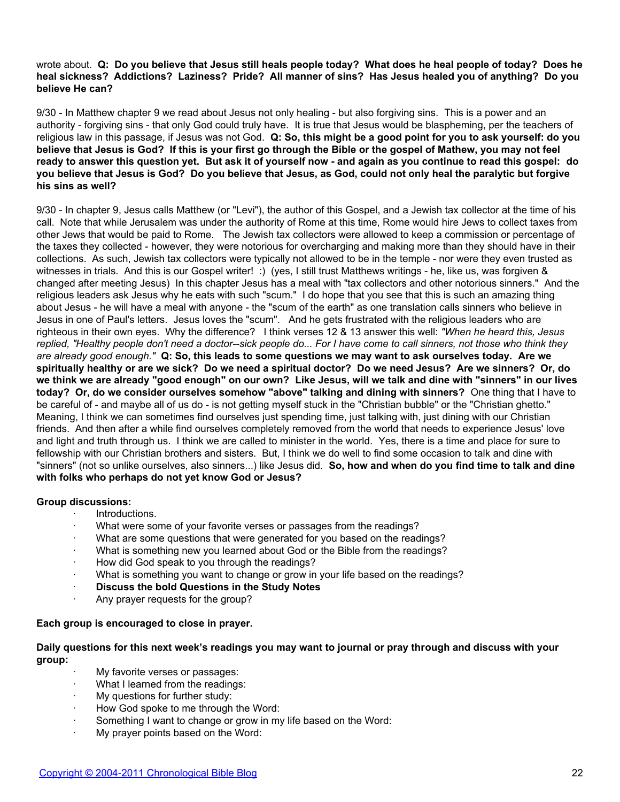### wrote about. **Q: Do you believe that Jesus still heals people today? What does he heal people of today? Does he heal sickness? Addictions? Laziness? Pride? All manner of sins? Has Jesus healed you of anything? Do you believe He can?**

9/30 - In Matthew chapter 9 we read about Jesus not only healing - but also forgiving sins. This is a power and an authority - forgiving sins - that only God could truly have. It is true that Jesus would be blaspheming, per the teachers of religious law in this passage, if Jesus was not God. **Q: So, this might be a good point for you to ask yourself: do you believe that Jesus is God? If this is your first go through the Bible or the gospel of Mathew, you may not feel ready to answer this question yet. But ask it of yourself now - and again as you continue to read this gospel: do you believe that Jesus is God? Do you believe that Jesus, as God, could not only heal the paralytic but forgive his sins as well?**

9/30 - In chapter 9, Jesus calls Matthew (or "Levi"), the author of this Gospel, and a Jewish tax collector at the time of his call. Note that while Jerusalem was under the authority of Rome at this time, Rome would hire Jews to collect taxes from other Jews that would be paid to Rome. The Jewish tax collectors were allowed to keep a commission or percentage of the taxes they collected - however, they were notorious for overcharging and making more than they should have in their collections. As such, Jewish tax collectors were typically not allowed to be in the temple - nor were they even trusted as witnesses in trials. And this is our Gospel writer! :) (yes, I still trust Matthews writings - he, like us, was forgiven & changed after meeting Jesus) In this chapter Jesus has a meal with "tax collectors and other notorious sinners." And the religious leaders ask Jesus why he eats with such "scum." I do hope that you see that this is such an amazing thing about Jesus - he will have a meal with anyone - the "scum of the earth" as one translation calls sinners who believe in Jesus in one of Paul's letters. Jesus loves the "scum". And he gets frustrated with the religious leaders who are righteous in their own eyes. Why the difference? I think verses 12 & 13 answer this well: *"When he heard this, Jesus replied, "Healthy people don't need a doctor--sick people do... For I have come to call sinners, not those who think they are already good enough."* **Q: So, this leads to some questions we may want to ask ourselves today. Are we spiritually healthy or are we sick? Do we need a spiritual doctor? Do we need Jesus? Are we sinners? Or, do we think we are already "good enough" on our own? Like Jesus, will we talk and dine with "sinners" in our lives today? Or, do we consider ourselves somehow "above" talking and dining with sinners?** One thing that I have to be careful of - and maybe all of us do - is not getting myself stuck in the "Christian bubble" or the "Christian ghetto." Meaning, I think we can sometimes find ourselves just spending time, just talking with, just dining with our Christian friends. And then after a while find ourselves completely removed from the world that needs to experience Jesus' love and light and truth through us. I think we are called to minister in the world. Yes, there is a time and place for sure to fellowship with our Christian brothers and sisters. But, I think we do well to find some occasion to talk and dine with "sinners" (not so unlike ourselves, also sinners...) like Jesus did. **So, how and when do you find time to talk and dine with folks who perhaps do not yet know God or Jesus?**

#### **Group discussions:**

- · Introductions.
- What were some of your favorite verses or passages from the readings?
- What are some questions that were generated for you based on the readings?
- What is something new you learned about God or the Bible from the readings?
- · How did God speak to you through the readings?
- What is something you want to change or grow in your life based on the readings?
- **Discuss the bold Questions in the Study Notes**
- Any prayer requests for the group?

# **Each group is encouraged to close in prayer.**

#### **Daily questions for this next week's readings you may want to journal or pray through and discuss with your group:**

- My favorite verses or passages:
- What I learned from the readings:
- My questions for further study:
- How God spoke to me through the Word:
- Something I want to change or grow in my life based on the Word:
- My prayer points based on the Word: